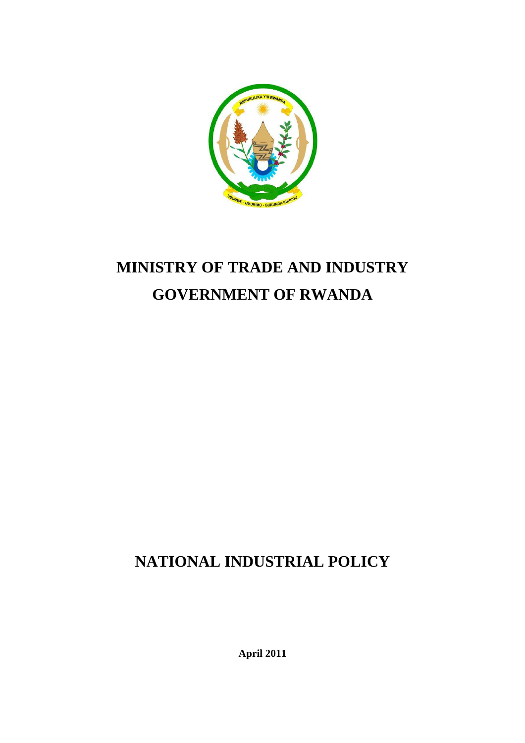

# **MINISTRY OF TRADE AND INDUSTRY GOVERNMENT OF RWANDA**

# **NATIONAL INDUSTRIAL POLICY**

**April 2011**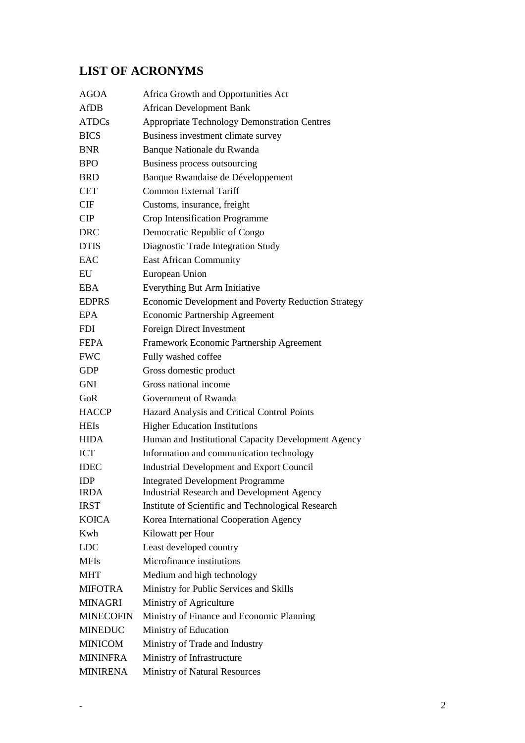# <span id="page-1-0"></span>**LIST OF ACRONYMS**

| <b>AGOA</b>      | Africa Growth and Opportunities Act                 |
|------------------|-----------------------------------------------------|
| <b>AfDB</b>      | <b>African Development Bank</b>                     |
| <b>ATDCs</b>     | <b>Appropriate Technology Demonstration Centres</b> |
| <b>BICS</b>      | Business investment climate survey                  |
| <b>BNR</b>       | Banque Nationale du Rwanda                          |
| <b>BPO</b>       | Business process outsourcing                        |
| <b>BRD</b>       | Banque Rwandaise de Développement                   |
| <b>CET</b>       | <b>Common External Tariff</b>                       |
| CIF              | Customs, insurance, freight                         |
| CIP              | Crop Intensification Programme                      |
| <b>DRC</b>       | Democratic Republic of Congo                        |
| <b>DTIS</b>      | Diagnostic Trade Integration Study                  |
| EAC              | <b>East African Community</b>                       |
| EU               | European Union                                      |
| <b>EBA</b>       | Everything But Arm Initiative                       |
| <b>EDPRS</b>     | Economic Development and Poverty Reduction Strategy |
| <b>EPA</b>       | Economic Partnership Agreement                      |
| <b>FDI</b>       | Foreign Direct Investment                           |
| <b>FEPA</b>      | Framework Economic Partnership Agreement            |
| <b>FWC</b>       | Fully washed coffee                                 |
| <b>GDP</b>       | Gross domestic product                              |
| <b>GNI</b>       | Gross national income                               |
| GoR              | Government of Rwanda                                |
| <b>HACCP</b>     | Hazard Analysis and Critical Control Points         |
| <b>HEIs</b>      | <b>Higher Education Institutions</b>                |
| <b>HIDA</b>      | Human and Institutional Capacity Development Agency |
| <b>ICT</b>       | Information and communication technology            |
| <b>IDEC</b>      | <b>Industrial Development and Export Council</b>    |
| <b>IDP</b>       | <b>Integrated Development Programme</b>             |
| <b>IRDA</b>      | <b>Industrial Research and Development Agency</b>   |
| <b>IRST</b>      | Institute of Scientific and Technological Research  |
| <b>KOICA</b>     | Korea International Cooperation Agency              |
| Kwh              | Kilowatt per Hour                                   |
| <b>LDC</b>       | Least developed country                             |
| <b>MFIs</b>      | Microfinance institutions                           |
| <b>MHT</b>       | Medium and high technology                          |
| <b>MIFOTRA</b>   | Ministry for Public Services and Skills             |
| <b>MINAGRI</b>   | Ministry of Agriculture                             |
| <b>MINECOFIN</b> | Ministry of Finance and Economic Planning           |
| <b>MINEDUC</b>   | Ministry of Education                               |
| <b>MINICOM</b>   | Ministry of Trade and Industry                      |
| <b>MININFRA</b>  | Ministry of Infrastructure                          |
| <b>MINIRENA</b>  | Ministry of Natural Resources                       |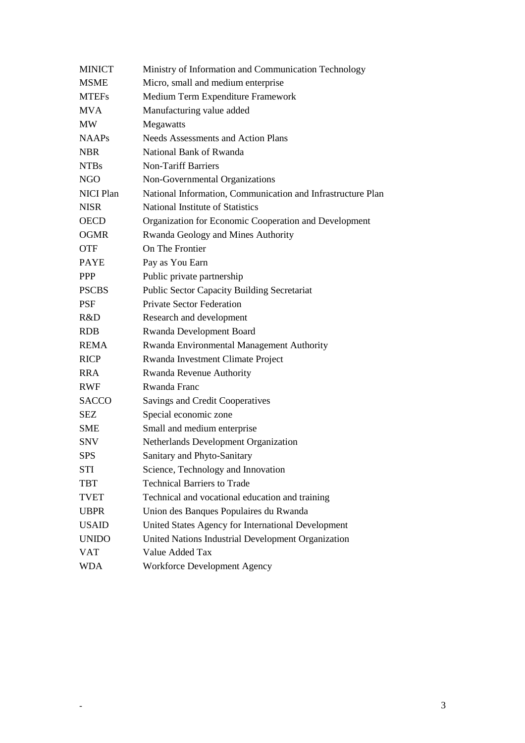| <b>MINICT</b>    | Ministry of Information and Communication Technology        |
|------------------|-------------------------------------------------------------|
| <b>MSME</b>      | Micro, small and medium enterprise                          |
| <b>MTEFs</b>     | Medium Term Expenditure Framework                           |
| <b>MVA</b>       | Manufacturing value added                                   |
| <b>MW</b>        | Megawatts                                                   |
| <b>NAAPs</b>     | <b>Needs Assessments and Action Plans</b>                   |
| <b>NBR</b>       | National Bank of Rwanda                                     |
| <b>NTBs</b>      | <b>Non-Tariff Barriers</b>                                  |
| <b>NGO</b>       | Non-Governmental Organizations                              |
| <b>NICI Plan</b> | National Information, Communication and Infrastructure Plan |
| <b>NISR</b>      | National Institute of Statistics                            |
| <b>OECD</b>      | Organization for Economic Cooperation and Development       |
| <b>OGMR</b>      | Rwanda Geology and Mines Authority                          |
| <b>OTF</b>       | On The Frontier                                             |
| <b>PAYE</b>      | Pay as You Earn                                             |
| <b>PPP</b>       | Public private partnership                                  |
| <b>PSCBS</b>     | <b>Public Sector Capacity Building Secretariat</b>          |
| <b>PSF</b>       | <b>Private Sector Federation</b>                            |
| R&D              | Research and development                                    |
| <b>RDB</b>       | Rwanda Development Board                                    |
| <b>REMA</b>      | Rwanda Environmental Management Authority                   |
| <b>RICP</b>      | Rwanda Investment Climate Project                           |
| <b>RRA</b>       | Rwanda Revenue Authority                                    |
| <b>RWF</b>       | Rwanda Franc                                                |
| <b>SACCO</b>     | Savings and Credit Cooperatives                             |
| SEZ              | Special economic zone                                       |
| <b>SME</b>       | Small and medium enterprise                                 |
| <b>SNV</b>       | Netherlands Development Organization                        |
| <b>SPS</b>       | Sanitary and Phyto-Sanitary                                 |
| STI              | Science, Technology and Innovation                          |
| <b>TBT</b>       | <b>Technical Barriers to Trade</b>                          |
| <b>TVET</b>      | Technical and vocational education and training             |
| <b>UBPR</b>      | Union des Banques Populaires du Rwanda                      |
| <b>USAID</b>     | United States Agency for International Development          |
| <b>UNIDO</b>     | United Nations Industrial Development Organization          |
| <b>VAT</b>       | Value Added Tax                                             |
| <b>WDA</b>       | Workforce Development Agency                                |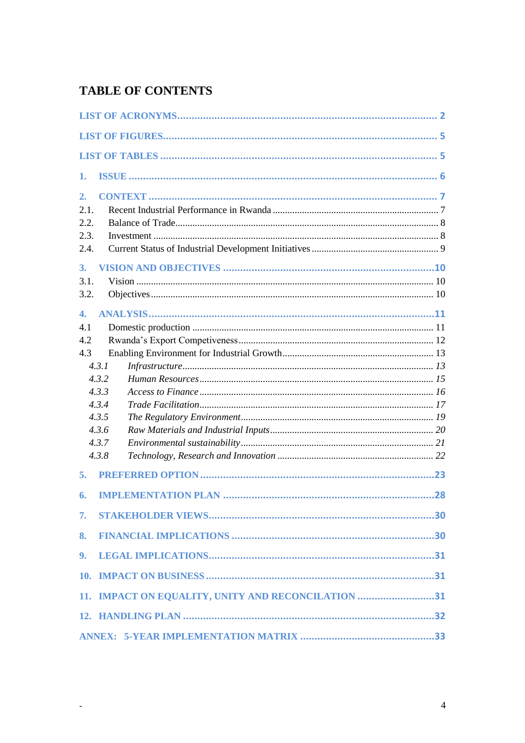# **TABLE OF CONTENTS**

<span id="page-3-0"></span> $\omega_{\rm{max}}$ 

| 1.           |                                                    |  |
|--------------|----------------------------------------------------|--|
| 2.<br>2.1.   |                                                    |  |
| 2.2.         |                                                    |  |
| 2.3.<br>2.4. |                                                    |  |
| 3.           |                                                    |  |
| 3.1.         |                                                    |  |
| 3.2.         |                                                    |  |
| 4.           |                                                    |  |
| 4.1          |                                                    |  |
| 4.2<br>4.3   |                                                    |  |
|              | 4.3.1                                              |  |
|              | 4.3.2                                              |  |
|              | 4.3.3                                              |  |
|              | 4.3.4                                              |  |
|              | 4.3.5                                              |  |
|              | 4.3.6                                              |  |
|              | 4.3.7                                              |  |
|              | 4.3.8                                              |  |
| 5.           |                                                    |  |
| 6.           |                                                    |  |
| 7.           |                                                    |  |
| 8.           |                                                    |  |
| 9.           |                                                    |  |
|              |                                                    |  |
|              | 11. IMPACT ON EQUALITY, UNITY AND RECONCILATION 31 |  |
|              |                                                    |  |
|              |                                                    |  |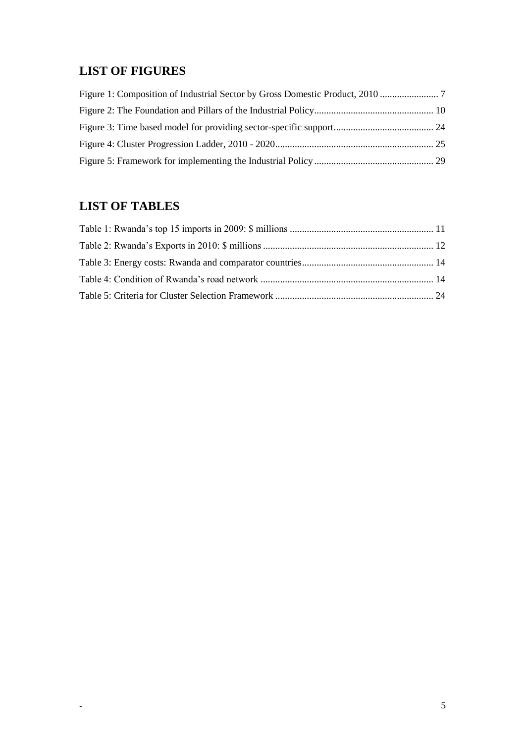## **LIST OF FIGURES**

# <span id="page-4-0"></span>**LIST OF TABLES**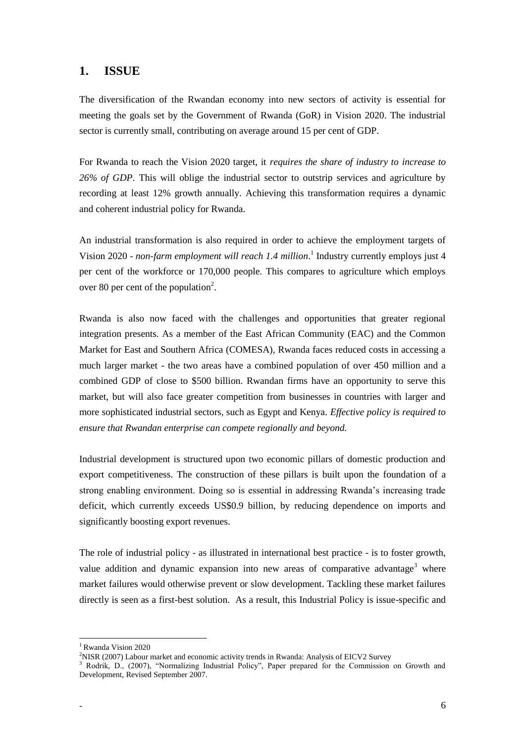### <span id="page-5-0"></span>**1. ISSUE**

The diversification of the Rwandan economy into new sectors of activity is essential for meeting the goals set by the Government of Rwanda (GoR) in Vision 2020. The industrial sector is currently small, contributing on average around 15 per cent of GDP.

For Rwanda to reach the Vision 2020 target, it *requires the share of industry to increase to 26% of GDP*. This will oblige the industrial sector to outstrip services and agriculture by recording at least 12% growth annually. Achieving this transformation requires a dynamic and coherent industrial policy for Rwanda.

An industrial transformation is also required in order to achieve the employment targets of Vision 2020 - non-farm employment will reach 1.4 million.<sup>1</sup> Industry currently employs just 4 per cent of the workforce or 170,000 people. This compares to agriculture which employs over 80 per cent of the population<sup>2</sup>.

Rwanda is also now faced with the challenges and opportunities that greater regional integration presents. As a member of the East African Community (EAC) and the Common Market for East and Southern Africa (COMESA), Rwanda faces reduced costs in accessing a much larger market - the two areas have a combined population of over 450 million and a combined GDP of close to \$500 billion. Rwandan firms have an opportunity to serve this market, but will also face greater competition from businesses in countries with larger and more sophisticated industrial sectors, such as Egypt and Kenya. *Effective policy is required to ensure that Rwandan enterprise can compete regionally and beyond.* 

Industrial development is structured upon two economic pillars of domestic production and export competitiveness. The construction of these pillars is built upon the foundation of a strong enabling environment. Doing so is essential in addressing Rwanda's increasing trade deficit, which currently exceeds US\$0.9 billion, by reducing dependence on imports and significantly boosting export revenues.

The role of industrial policy - as illustrated in international best practice - is to foster growth, value addition and dynamic expansion into new areas of comparative advantage<sup>3</sup> where market failures would otherwise prevent or slow development. Tackling these market failures directly is seen as a first-best solution. As a result, this Industrial Policy is issue-specific and

 $\ddot{\phantom{a}}$ 

<sup>&</sup>lt;sup>1</sup> Rwanda Vision 2020

<sup>2</sup>NISR (2007) Labour market and economic activity trends in Rwanda: Analysis of EICV2 Survey

<sup>&</sup>lt;sup>3</sup> Rodrik, D., (2007), "Normalizing Industrial Policy", Paper prepared for the Commission on Growth and Development, Revised September 2007.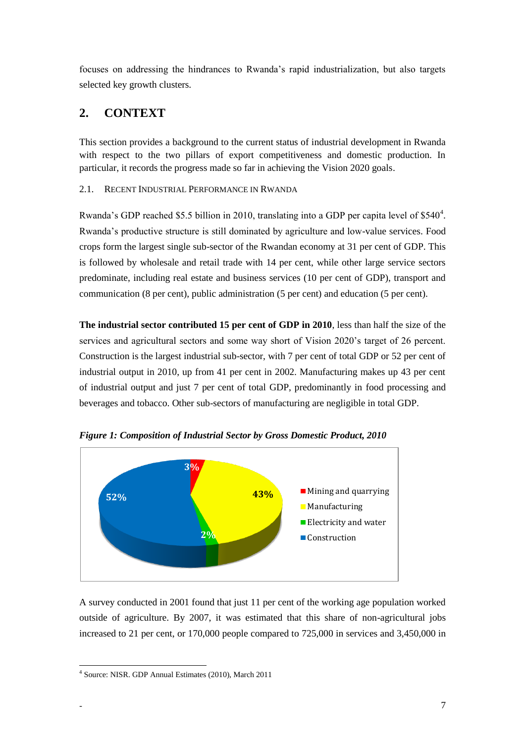focuses on addressing the hindrances to Rwanda's rapid industrialization, but also targets selected key growth clusters.

# <span id="page-6-0"></span>**2. CONTEXT**

This section provides a background to the current status of industrial development in Rwanda with respect to the two pillars of export competitiveness and domestic production. In particular, it records the progress made so far in achieving the Vision 2020 goals.

### <span id="page-6-1"></span>2.1. RECENT INDUSTRIAL PERFORMANCE IN RWANDA

Rwanda's GDP reached \$5.5 billion in 2010, translating into a GDP per capita level of \$540<sup>4</sup>. Rwanda's productive structure is still dominated by agriculture and low-value services. Food crops form the largest single sub-sector of the Rwandan economy at 31 per cent of GDP. This is followed by wholesale and retail trade with 14 per cent, while other large service sectors predominate, including real estate and business services (10 per cent of GDP), transport and communication (8 per cent), public administration (5 per cent) and education (5 per cent).

**The industrial sector contributed 15 per cent of GDP in 2010**, less than half the size of the services and agricultural sectors and some way short of Vision 2020's target of 26 percent. Construction is the largest industrial sub-sector, with 7 per cent of total GDP or 52 per cent of industrial output in 2010, up from 41 per cent in 2002. Manufacturing makes up 43 per cent of industrial output and just 7 per cent of total GDP, predominantly in food processing and beverages and tobacco. Other sub-sectors of manufacturing are negligible in total GDP.



<span id="page-6-2"></span>*Figure 1: Composition of Industrial Sector by Gross Domestic Product, 2010*

A survey conducted in 2001 found that just 11 per cent of the working age population worked outside of agriculture. By 2007, it was estimated that this share of non-agricultural jobs increased to 21 per cent, or 170,000 people compared to 725,000 in services and 3,450,000 in

 4 Source: NISR. GDP Annual Estimates (2010), March 2011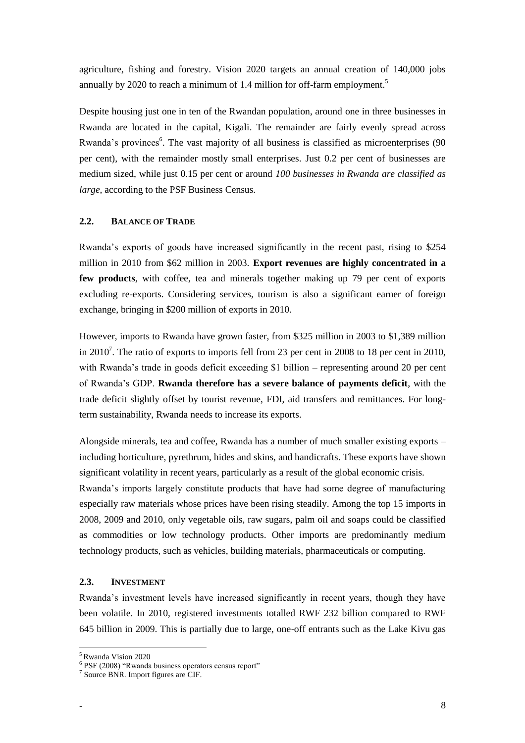agriculture, fishing and forestry. Vision 2020 targets an annual creation of 140,000 jobs annually by 2020 to reach a minimum of 1.4 million for off-farm employment.<sup>5</sup>

Despite housing just one in ten of the Rwandan population, around one in three businesses in Rwanda are located in the capital, Kigali. The remainder are fairly evenly spread across Rwanda's provinces<sup>6</sup>. The vast majority of all business is classified as microenterprises (90 per cent), with the remainder mostly small enterprises. Just 0.2 per cent of businesses are medium sized, while just 0.15 per cent or around *100 businesses in Rwanda are classified as large*, according to the PSF Business Census.

### <span id="page-7-0"></span>**2.2. BALANCE OF TRADE**

Rwanda's exports of goods have increased significantly in the recent past, rising to \$254 million in 2010 from \$62 million in 2003. **Export revenues are highly concentrated in a few products**, with coffee, tea and minerals together making up 79 per cent of exports excluding re-exports. Considering services, tourism is also a significant earner of foreign exchange, bringing in \$200 million of exports in 2010.

However, imports to Rwanda have grown faster, from \$325 million in 2003 to \$1,389 million in 2010<sup>7</sup>. The ratio of exports to imports fell from 23 per cent in 2008 to 18 per cent in 2010, with Rwanda's trade in goods deficit exceeding \$1 billion – representing around 20 per cent of Rwanda's GDP. **Rwanda therefore has a severe balance of payments deficit**, with the trade deficit slightly offset by tourist revenue, FDI, aid transfers and remittances. For longterm sustainability, Rwanda needs to increase its exports.

Alongside minerals, tea and coffee, Rwanda has a number of much smaller existing exports – including horticulture, pyrethrum, hides and skins, and handicrafts. These exports have shown significant volatility in recent years, particularly as a result of the global economic crisis. Rwanda's imports largely constitute products that have had some degree of manufacturing especially raw materials whose prices have been rising steadily. Among the top 15 imports in 2008, 2009 and 2010, only vegetable oils, raw sugars, palm oil and soaps could be classified as commodities or low technology products. Other imports are predominantly medium technology products, such as vehicles, building materials, pharmaceuticals or computing.

#### <span id="page-7-1"></span>**2.3. INVESTMENT**

Rwanda's investment levels have increased significantly in recent years, though they have been volatile. In 2010, registered investments totalled RWF 232 billion compared to RWF 645 billion in 2009. This is partially due to large, one-off entrants such as the Lake Kivu gas

<sup>5</sup> Rwanda Vision 2020

<sup>&</sup>lt;sup>6</sup> PSF (2008) "Rwanda business operators census report"

<sup>7</sup> Source BNR. Import figures are CIF.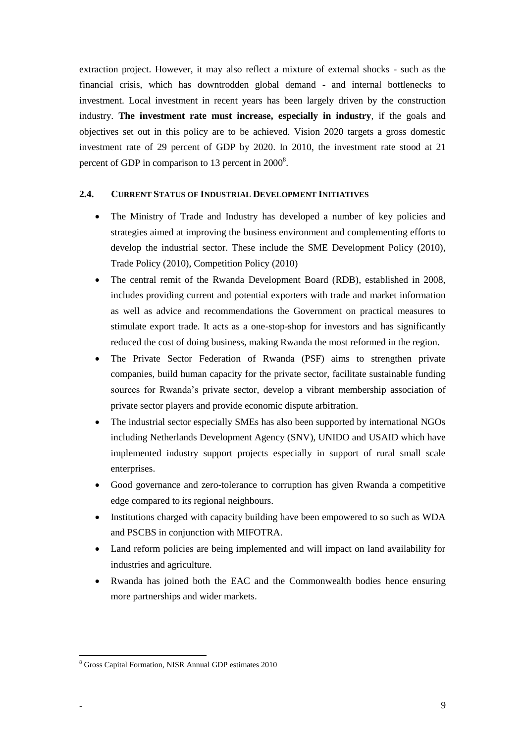extraction project. However, it may also reflect a mixture of external shocks - such as the financial crisis, which has downtrodden global demand - and internal bottlenecks to investment. Local investment in recent years has been largely driven by the construction industry. **The investment rate must increase, especially in industry**, if the goals and objectives set out in this policy are to be achieved. Vision 2020 targets a gross domestic investment rate of 29 percent of GDP by 2020. In 2010, the investment rate stood at 21 percent of GDP in comparison to 13 percent in  $2000^8$ .

#### <span id="page-8-0"></span>**2.4. CURRENT STATUS OF INDUSTRIAL DEVELOPMENT INITIATIVES**

- The Ministry of Trade and Industry has developed a number of key policies and strategies aimed at improving the business environment and complementing efforts to develop the industrial sector. These include the SME Development Policy (2010), Trade Policy (2010), Competition Policy (2010)
- The central remit of the Rwanda Development Board (RDB), established in 2008, includes providing current and potential exporters with trade and market information as well as advice and recommendations the Government on practical measures to stimulate export trade. It acts as a one-stop-shop for investors and has significantly reduced the cost of doing business, making Rwanda the most reformed in the region.
- The Private Sector Federation of Rwanda (PSF) aims to strengthen private companies, build human capacity for the private sector, facilitate sustainable funding sources for Rwanda's private sector, develop a vibrant membership association of private sector players and provide economic dispute arbitration.
- The industrial sector especially SMEs has also been supported by international NGOs including Netherlands Development Agency (SNV), UNIDO and USAID which have implemented industry support projects especially in support of rural small scale enterprises.
- Good governance and zero-tolerance to corruption has given Rwanda a competitive edge compared to its regional neighbours.
- Institutions charged with capacity building have been empowered to so such as WDA and PSCBS in conjunction with MIFOTRA.
- Land reform policies are being implemented and will impact on land availability for industries and agriculture.
- Rwanda has joined both the EAC and the Commonwealth bodies hence ensuring more partnerships and wider markets.

 $\ddot{\phantom{a}}$ 

<sup>8</sup> Gross Capital Formation, NISR Annual GDP estimates 2010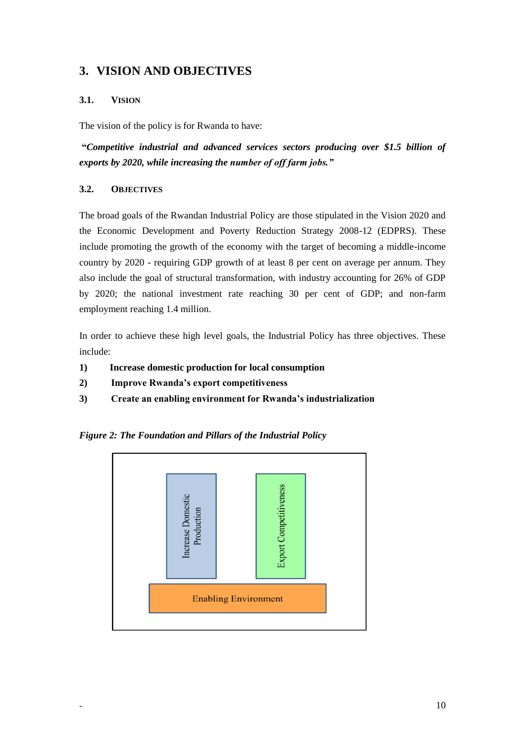### <span id="page-9-0"></span>**3. VISION AND OBJECTIVES**

### <span id="page-9-1"></span>**3.1. VISION**

The vision of the policy is for Rwanda to have:

**"***Competitive industrial and advanced services sectors producing over \$1.5 billion of exports by 2020, while increasing the number of off farm jobs."*

### <span id="page-9-2"></span>**3.2. OBJECTIVES**

The broad goals of the Rwandan Industrial Policy are those stipulated in the Vision 2020 and the Economic Development and Poverty Reduction Strategy 2008-12 (EDPRS). These include promoting the growth of the economy with the target of becoming a middle-income country by 2020 - requiring GDP growth of at least 8 per cent on average per annum. They also include the goal of structural transformation, with industry accounting for 26% of GDP by 2020; the national investment rate reaching 30 per cent of GDP; and non-farm employment reaching 1.4 million.

In order to achieve these high level goals, the Industrial Policy has three objectives. These include:

- **1) Increase domestic production for local consumption**
- **2) Improve Rwanda's export competitiveness**
- **3) Create an enabling environment for Rwanda's industrialization**

<span id="page-9-3"></span>

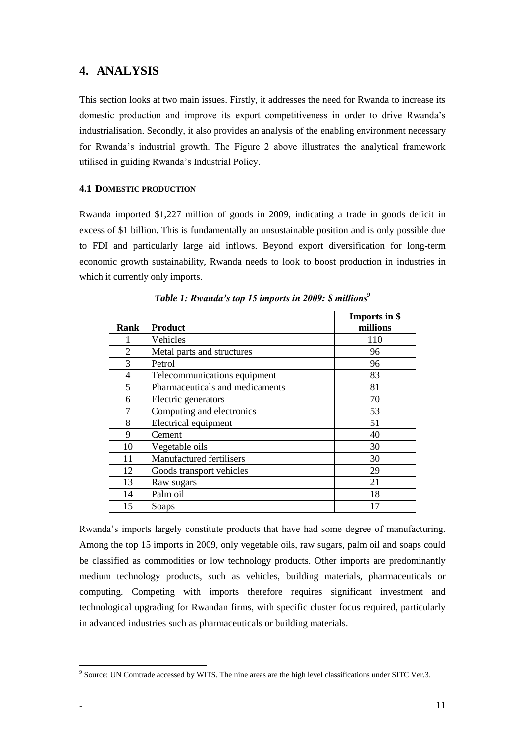### <span id="page-10-0"></span>**4. ANALYSIS**

This section looks at two main issues. Firstly, it addresses the need for Rwanda to increase its domestic production and improve its export competitiveness in order to drive Rwanda's industrialisation. Secondly, it also provides an analysis of the enabling environment necessary for Rwanda's industrial growth. The Figure 2 above illustrates the analytical framework utilised in guiding Rwanda's Industrial Policy.

### <span id="page-10-1"></span>**4.1 DOMESTIC PRODUCTION**

Rwanda imported \$1,227 million of goods in 2009, indicating a trade in goods deficit in excess of \$1 billion. This is fundamentally an unsustainable position and is only possible due to FDI and particularly large aid inflows. Beyond export diversification for long-term economic growth sustainability, Rwanda needs to look to boost production in industries in which it currently only imports.

<span id="page-10-2"></span>

|                |                                 | Imports in \$ |
|----------------|---------------------------------|---------------|
| Rank           | <b>Product</b>                  | millions      |
|                | Vehicles                        | 110           |
| $\overline{2}$ | Metal parts and structures      | 96            |
| 3              | Petrol                          | 96            |
| 4              | Telecommunications equipment    | 83            |
| 5              | Pharmaceuticals and medicaments | 81            |
| 6              | Electric generators             | 70            |
| 7              | Computing and electronics       | 53            |
| 8              | Electrical equipment            | 51            |
| 9              | Cement                          | 40            |
| 10             | Vegetable oils                  | 30            |
| 11             | Manufactured fertilisers        | 30            |
| 12             | Goods transport vehicles        | 29            |
| 13             | Raw sugars                      | 21            |
| 14             | Palm oil                        | 18            |
| 15             | Soaps                           | 17            |

*Table 1: Rwanda's top 15 imports in 2009: \$ millions<sup>9</sup>*

Rwanda's imports largely constitute products that have had some degree of manufacturing. Among the top 15 imports in 2009, only vegetable oils, raw sugars, palm oil and soaps could be classified as commodities or low technology products. Other imports are predominantly medium technology products, such as vehicles, building materials, pharmaceuticals or computing. Competing with imports therefore requires significant investment and technological upgrading for Rwandan firms, with specific cluster focus required, particularly in advanced industries such as pharmaceuticals or building materials.

<sup>&</sup>lt;sup>9</sup> Source: UN Comtrade accessed by WITS. The nine areas are the high level classifications under SITC Ver.3.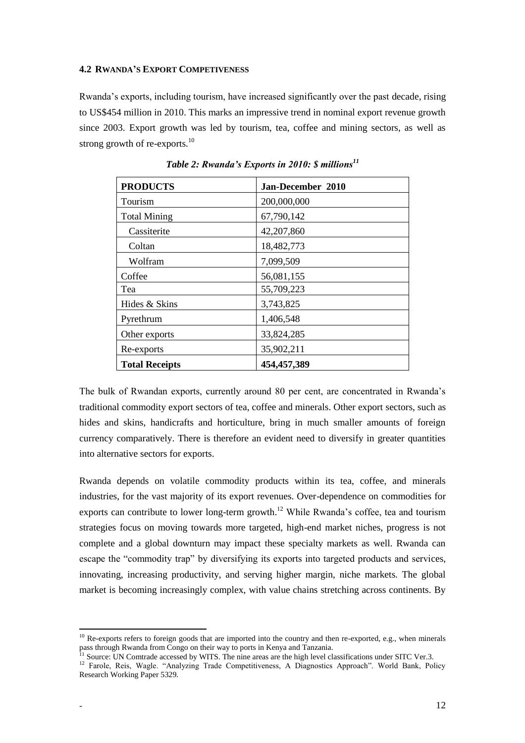#### <span id="page-11-0"></span>**4.2 RWANDA'S EXPORT COMPETIVENESS**

Rwanda's exports, including tourism, have increased significantly over the past decade, rising to US\$454 million in 2010. This marks an impressive trend in nominal export revenue growth since 2003. Export growth was led by tourism, tea, coffee and mining sectors, as well as strong growth of re-exports.<sup>10</sup>

<span id="page-11-1"></span>

| <b>PRODUCTS</b>       | Jan-December 2010 |
|-----------------------|-------------------|
| Tourism               | 200,000,000       |
| <b>Total Mining</b>   | 67,790,142        |
| Cassiterite           | 42,207,860        |
| Coltan                | 18,482,773        |
| Wolfram               | 7,099,509         |
| Coffee                | 56,081,155        |
| Tea                   | 55,709,223        |
| Hides & Skins         | 3,743,825         |
| Pyrethrum             | 1,406,548         |
| Other exports         | 33,824,285        |
| Re-exports            | 35,902,211        |
| <b>Total Receipts</b> | 454, 457, 389     |

*Table 2: Rwanda's Exports in 2010: \$ millions<sup>11</sup>*

The bulk of Rwandan exports, currently around 80 per cent, are concentrated in Rwanda's traditional commodity export sectors of tea, coffee and minerals. Other export sectors, such as hides and skins, handicrafts and horticulture, bring in much smaller amounts of foreign currency comparatively. There is therefore an evident need to diversify in greater quantities into alternative sectors for exports.

Rwanda depends on volatile commodity products within its tea, coffee, and minerals industries, for the vast majority of its export revenues. Over-dependence on commodities for exports can contribute to lower long-term growth.<sup>12</sup> While Rwanda's coffee, tea and tourism strategies focus on moving towards more targeted, high-end market niches, progress is not complete and a global downturn may impact these specialty markets as well. Rwanda can escape the "commodity trap" by diversifying its exports into targeted products and services, innovating, increasing productivity, and serving higher margin, niche markets. The global market is becoming increasingly complex, with value chains stretching across continents. By

 $10$  Re-exports refers to foreign goods that are imported into the country and then re-exported, e.g., when minerals pass through Rwanda from Congo on their way to ports in Kenya and Tanzania.

<sup>11</sup> Source: UN Comtrade accessed by WITS. The nine areas are the high level classifications under SITC Ver.3.

<sup>&</sup>lt;sup>12</sup> Farole, Reis, Wagle. "Analyzing Trade Competitiveness, A Diagnostics Approach". World Bank, Policy Research Working Paper 5329.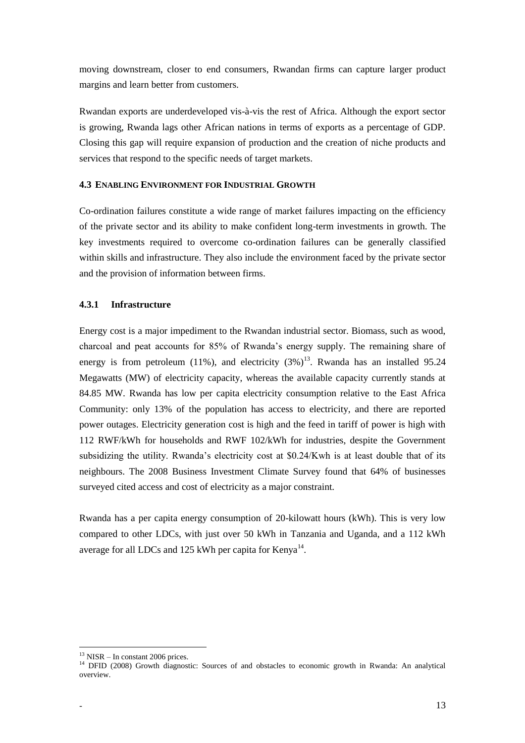moving downstream, closer to end consumers, Rwandan firms can capture larger product margins and learn better from customers.

Rwandan exports are underdeveloped vis-à-vis the rest of Africa. Although the export sector is growing, Rwanda lags other African nations in terms of exports as a percentage of GDP. Closing this gap will require expansion of production and the creation of niche products and services that respond to the specific needs of target markets.

### <span id="page-12-0"></span>**4.3 ENABLING ENVIRONMENT FOR INDUSTRIAL GROWTH**

Co-ordination failures constitute a wide range of market failures impacting on the efficiency of the private sector and its ability to make confident long-term investments in growth. The key investments required to overcome co-ordination failures can be generally classified within skills and infrastructure. They also include the environment faced by the private sector and the provision of information between firms.

### <span id="page-12-1"></span>**4.3.1 Infrastructure**

Energy cost is a major impediment to the Rwandan industrial sector. Biomass, such as wood, charcoal and peat accounts for 85% of Rwanda's energy supply. The remaining share of energy is from petroleum (11%), and electricity  $(3\%)^{13}$ . Rwanda has an installed 95.24 Megawatts (MW) of electricity capacity, whereas the available capacity currently stands at 84.85 MW. Rwanda has low per capita electricity consumption relative to the East Africa Community: only 13% of the population has access to electricity, and there are reported power outages. Electricity generation cost is high and the feed in tariff of power is high with 112 RWF/kWh for households and RWF 102/kWh for industries, despite the Government subsidizing the utility. Rwanda's electricity cost at \$0.24/Kwh is at least double that of its neighbours. The 2008 Business Investment Climate Survey found that 64% of businesses surveyed cited access and cost of electricity as a major constraint.

<span id="page-12-2"></span>Rwanda has a per capita energy consumption of 20-kilowatt hours (kWh). This is very low compared to other LDCs, with just over 50 kWh in Tanzania and Uganda, and a 112 kWh average for all LDCs and 125 kWh per capita for Kenya $^{14}$ .

 $13$  NISR – In constant 2006 prices.

<sup>&</sup>lt;sup>14</sup> DFID (2008) Growth diagnostic: Sources of and obstacles to economic growth in Rwanda: An analytical overview.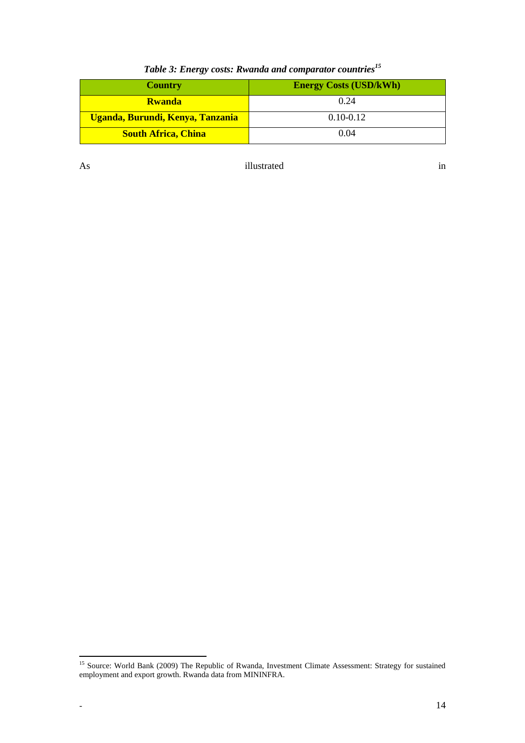| <b>Country</b>                   | <b>Energy Costs (USD/kWh)</b> |
|----------------------------------|-------------------------------|
| <b>Rwanda</b>                    | 0.24                          |
| Uganda, Burundi, Kenya, Tanzania | $0.10 - 0.12$                 |
| <b>South Africa, China</b>       | 0.04                          |

# *Table 3: Energy costs: Rwanda and comparator countries<sup>15</sup>*

As illustrated in

 $\ddot{\phantom{a}}$ <sup>15</sup> Source: World Bank (2009) The Republic of Rwanda, Investment Climate Assessment: Strategy for sustained employment and export growth. Rwanda data from MININFRA.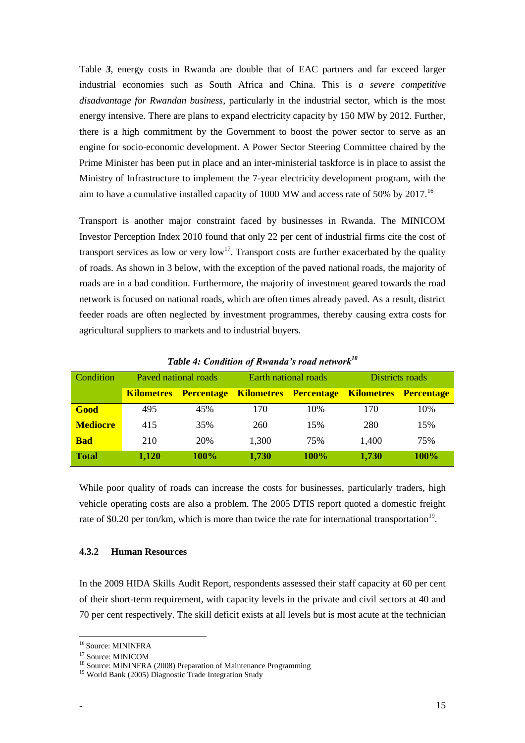[Table](#page-12-2) *3*, energy costs in Rwanda are double that of EAC partners and far exceed larger industrial economies such as South Africa and China. This is *a severe competitive disadvantage for Rwandan business*, particularly in the industrial sector, which is the most energy intensive. There are plans to expand electricity capacity by 150 MW by 2012. Further, there is a high commitment by the Government to boost the power sector to serve as an engine for socio-economic development. A Power Sector Steering Committee chaired by the Prime Minister has been put in place and an inter-ministerial taskforce is in place to assist the Ministry of Infrastructure to implement the 7-year electricity development program, with the aim to have a cumulative installed capacity of 1000 MW and access rate of 50% by 2017.<sup>16</sup>

Transport is another major constraint faced by businesses in Rwanda. The MINICOM Investor Perception Index 2010 found that only 22 per cent of industrial firms cite the cost of transport services as low or very  $\text{low}^{17}$ . Transport costs are further exacerbated by the quality of roads. As shown in 3 below, with the exception of the paved national roads, the majority of roads are in a bad condition. Furthermore, the majority of investment geared towards the road network is focused on national roads, which are often times already paved. As a result, district feeder roads are often neglected by investment programmes, thereby causing extra costs for agricultural suppliers to markets and to industrial buyers.

<span id="page-14-1"></span>

| Condition       | Paved national roads |                   | Earth national roads |                              | Districts roads              |             |
|-----------------|----------------------|-------------------|----------------------|------------------------------|------------------------------|-------------|
|                 | <b>Kilometres</b>    | <b>Percentage</b> |                      | <b>Kilometres Percentage</b> | <b>Kilometres Percentage</b> |             |
| Good            | 495                  | 45%               | 170                  | 10%                          | 170                          | 10%         |
| <b>Mediocre</b> | 415                  | 35%               | 260                  | 15%                          | 280                          | 15%         |
| <b>Bad</b>      | 210                  | 20%               | 1,300                | 75%                          | 1,400                        | 75%         |
| <b>Total</b>    | 1,120                | <b>100%</b>       | 1,730                | <b>100%</b>                  | 1,730                        | <b>100%</b> |

*Table 4: Condition of Rwanda's road network<sup>18</sup>*

While poor quality of roads can increase the costs for businesses, particularly traders, high vehicle operating costs are also a problem. The 2005 DTIS report quoted a domestic freight rate of \$0.20 per ton/km, which is more than twice the rate for international transportation<sup>19</sup>.

#### <span id="page-14-0"></span>**4.3.2 Human Resources**

In the 2009 HIDA Skills Audit Report, respondents assessed their staff capacity at 60 per cent of their short-term requirement, with capacity levels in the private and civil sectors at 40 and 70 per cent respectively. The skill deficit exists at all levels but is most acute at the technician

 $\ddot{\phantom{a}}$ 

<sup>16</sup> Source: MININFRA

<sup>17</sup> Source: MINICOM

<sup>&</sup>lt;sup>18</sup> Source: MININFRA (2008) Preparation of Maintenance Programming

<sup>&</sup>lt;sup>19</sup> World Bank (2005) Diagnostic Trade Integration Study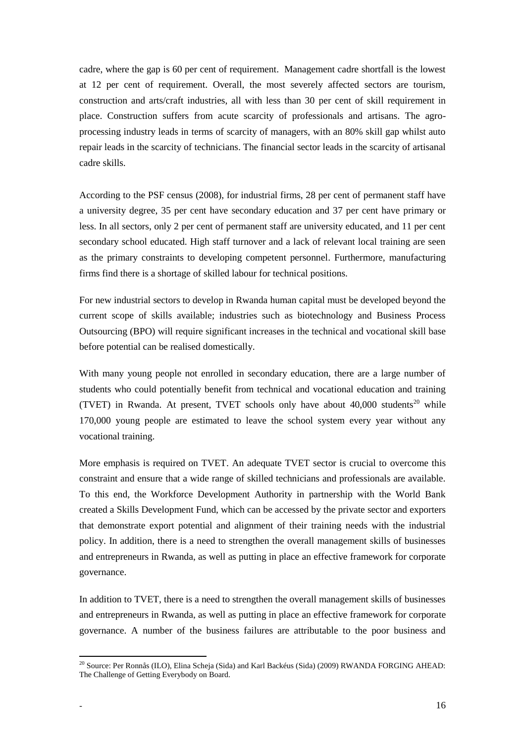cadre, where the gap is 60 per cent of requirement. Management cadre shortfall is the lowest at 12 per cent of requirement. Overall, the most severely affected sectors are tourism, construction and arts/craft industries, all with less than 30 per cent of skill requirement in place. Construction suffers from acute scarcity of professionals and artisans. The agroprocessing industry leads in terms of scarcity of managers, with an 80% skill gap whilst auto repair leads in the scarcity of technicians. The financial sector leads in the scarcity of artisanal cadre skills.

According to the PSF census (2008), for industrial firms, 28 per cent of permanent staff have a university degree, 35 per cent have secondary education and 37 per cent have primary or less. In all sectors, only 2 per cent of permanent staff are university educated, and 11 per cent secondary school educated. High staff turnover and a lack of relevant local training are seen as the primary constraints to developing competent personnel. Furthermore, manufacturing firms find there is a shortage of skilled labour for technical positions.

For new industrial sectors to develop in Rwanda human capital must be developed beyond the current scope of skills available; industries such as biotechnology and Business Process Outsourcing (BPO) will require significant increases in the technical and vocational skill base before potential can be realised domestically.

With many young people not enrolled in secondary education, there are a large number of students who could potentially benefit from technical and vocational education and training (TVET) in Rwanda. At present, TVET schools only have about  $40,000$  students<sup>20</sup> while 170,000 young people are estimated to leave the school system every year without any vocational training.

More emphasis is required on TVET. An adequate TVET sector is crucial to overcome this constraint and ensure that a wide range of skilled technicians and professionals are available. To this end, the Workforce Development Authority in partnership with the World Bank created a Skills Development Fund, which can be accessed by the private sector and exporters that demonstrate export potential and alignment of their training needs with the industrial policy. In addition, there is a need to strengthen the overall management skills of businesses and entrepreneurs in Rwanda, as well as putting in place an effective framework for corporate governance.

In addition to TVET, there is a need to strengthen the overall management skills of businesses and entrepreneurs in Rwanda, as well as putting in place an effective framework for corporate governance. A number of the business failures are attributable to the poor business and

 $\ddot{\phantom{a}}$ 

<sup>&</sup>lt;sup>20</sup> Source: Per Ronnås (ILO), Elina Scheja (Sida) and Karl Backéus (Sida) (2009) RWANDA FORGING AHEAD: The Challenge of Getting Everybody on Board.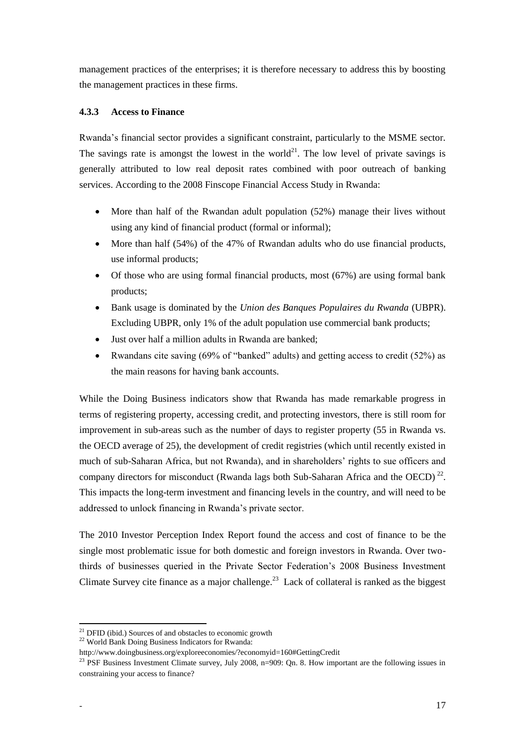management practices of the enterprises; it is therefore necessary to address this by boosting the management practices in these firms.

### <span id="page-16-0"></span>**4.3.3 Access to Finance**

Rwanda's financial sector provides a significant constraint, particularly to the MSME sector. The savings rate is amongst the lowest in the world<sup>21</sup>. The low level of private savings is generally attributed to low real deposit rates combined with poor outreach of banking services. According to the 2008 Finscope Financial Access Study in Rwanda:

- More than half of the Rwandan adult population (52%) manage their lives without using any kind of financial product (formal or informal);
- More than half (54%) of the 47% of Rwandan adults who do use financial products, use informal products;
- Of those who are using formal financial products, most (67%) are using formal bank products;
- Bank usage is dominated by the *Union des Banques Populaires du Rwanda* (UBPR). Excluding UBPR, only 1% of the adult population use commercial bank products;
- Just over half a million adults in Rwanda are banked;
- Rwandans cite saving  $(69\% \text{ of "banked" adults})$  and getting access to credit  $(52\%)$  as the main reasons for having bank accounts.

While the Doing Business indicators show that Rwanda has made remarkable progress in terms of registering property, accessing credit, and protecting investors, there is still room for improvement in sub-areas such as the number of days to register property (55 in Rwanda vs. the OECD average of 25), the development of credit registries (which until recently existed in much of sub-Saharan Africa, but not Rwanda), and in shareholders' rights to sue officers and company directors for misconduct (Rwanda lags both Sub-Saharan Africa and the OECD)<sup>22</sup>. This impacts the long-term investment and financing levels in the country, and will need to be addressed to unlock financing in Rwanda's private sector.

The 2010 Investor Perception Index Report found the access and cost of finance to be the single most problematic issue for both domestic and foreign investors in Rwanda. Over twothirds of businesses queried in the Private Sector Federation's 2008 Business Investment Climate Survey cite finance as a major challenge.<sup>23</sup> Lack of collateral is ranked as the biggest

 $\overline{21}$ DFID (ibid.) Sources of and obstacles to economic growth

<sup>&</sup>lt;sup>22</sup> World Bank Doing Business Indicators for Rwanda:

<http://www.doingbusiness.org/exploreeconomies/?economyid=160#GettingCredit>

<sup>&</sup>lt;sup>23</sup> PSF Business Investment Climate survey, July 2008, n=909: Qn. 8. How important are the following issues in constraining your access to finance?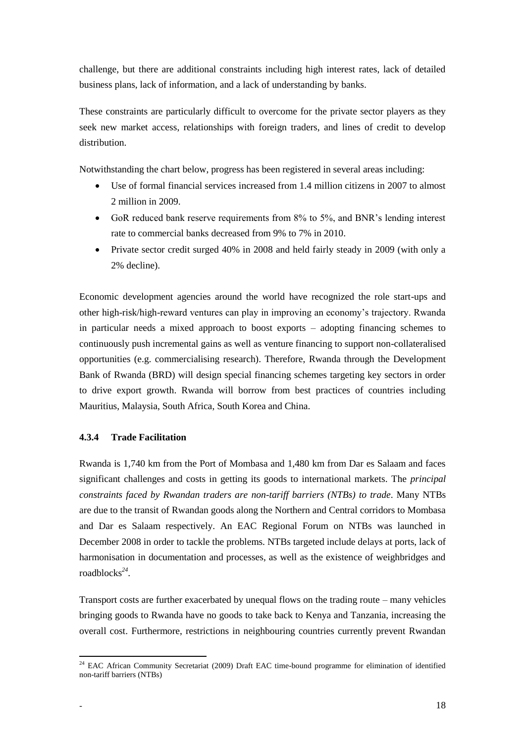challenge, but there are additional constraints including high interest rates, lack of detailed business plans, lack of information, and a lack of understanding by banks.

These constraints are particularly difficult to overcome for the private sector players as they seek new market access, relationships with foreign traders, and lines of credit to develop distribution.

Notwithstanding the chart below, progress has been registered in several areas including:

- Use of formal financial services increased from 1.4 million citizens in 2007 to almost 2 million in 2009.
- GoR reduced bank reserve requirements from 8% to 5%, and BNR's lending interest rate to commercial banks decreased from 9% to 7% in 2010.
- Private sector credit surged 40% in 2008 and held fairly steady in 2009 (with only a 2% decline).

Economic development agencies around the world have recognized the role start-ups and other high-risk/high-reward ventures can play in improving an economy's trajectory. Rwanda in particular needs a mixed approach to boost exports – adopting financing schemes to continuously push incremental gains as well as venture financing to support non-collateralised opportunities (e.g. commercialising research). Therefore, Rwanda through the Development Bank of Rwanda (BRD) will design special financing schemes targeting key sectors in order to drive export growth. Rwanda will borrow from best practices of countries including Mauritius, Malaysia, South Africa, South Korea and China.

### <span id="page-17-0"></span>**4.3.4 Trade Facilitation**

Rwanda is 1,740 km from the Port of Mombasa and 1,480 km from Dar es Salaam and faces significant challenges and costs in getting its goods to international markets. The *principal constraints faced by Rwandan traders are non-tariff barriers (NTBs) to trade*. Many NTBs are due to the transit of Rwandan goods along the Northern and Central corridors to Mombasa and Dar es Salaam respectively. An EAC Regional Forum on NTBs was launched in December 2008 in order to tackle the problems. NTBs targeted include delays at ports, lack of harmonisation in documentation and processes, as well as the existence of weighbridges and roadblocks*<sup>24</sup>* .

Transport costs are further exacerbated by unequal flows on the trading route – many vehicles bringing goods to Rwanda have no goods to take back to Kenya and Tanzania, increasing the overall cost. Furthermore, restrictions in neighbouring countries currently prevent Rwandan

 $\ddot{\phantom{a}}$  $24$  EAC African Community Secretariat (2009) Draft EAC time-bound programme for elimination of identified non-tariff barriers (NTBs)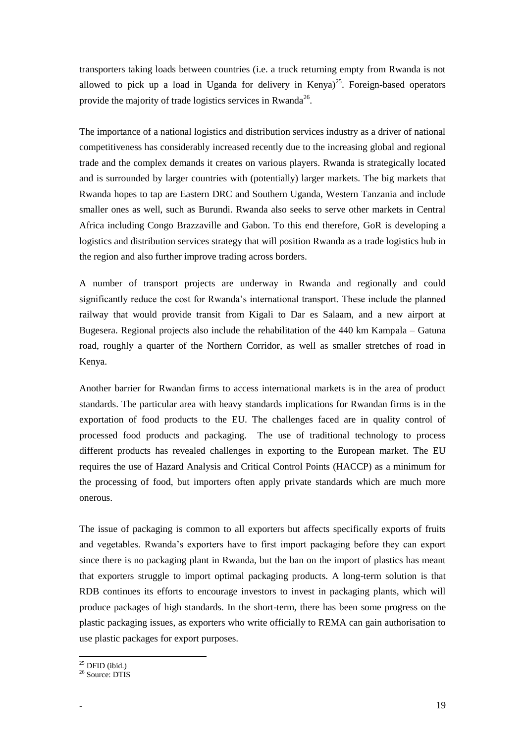transporters taking loads between countries (i.e. a truck returning empty from Rwanda is not allowed to pick up a load in Uganda for delivery in Kenya)<sup>25</sup>. Foreign-based operators provide the majority of trade logistics services in Rwanda<sup>26</sup>.

The importance of a national logistics and distribution services industry as a driver of national competitiveness has considerably increased recently due to the increasing global and regional trade and the complex demands it creates on various players. Rwanda is strategically located and is surrounded by larger countries with (potentially) larger markets. The big markets that Rwanda hopes to tap are Eastern DRC and Southern Uganda, Western Tanzania and include smaller ones as well, such as Burundi. Rwanda also seeks to serve other markets in Central Africa including Congo Brazzaville and Gabon. To this end therefore, GoR is developing a logistics and distribution services strategy that will position Rwanda as a trade logistics hub in the region and also further improve trading across borders.

A number of transport projects are underway in Rwanda and regionally and could significantly reduce the cost for Rwanda's international transport. These include the planned railway that would provide transit from Kigali to Dar es Salaam, and a new airport at Bugesera. Regional projects also include the rehabilitation of the 440 km Kampala – Gatuna road, roughly a quarter of the Northern Corridor, as well as smaller stretches of road in Kenya.

Another barrier for Rwandan firms to access international markets is in the area of product standards. The particular area with heavy standards implications for Rwandan firms is in the exportation of food products to the EU. The challenges faced are in quality control of processed food products and packaging. The use of traditional technology to process different products has revealed challenges in exporting to the European market. The EU requires the use of Hazard Analysis and Critical Control Points (HACCP) as a minimum for the processing of food, but importers often apply private standards which are much more onerous.

The issue of packaging is common to all exporters but affects specifically exports of fruits and vegetables. Rwanda's exporters have to first import packaging before they can export since there is no packaging plant in Rwanda, but the ban on the import of plastics has meant that exporters struggle to import optimal packaging products. A long-term solution is that RDB continues its efforts to encourage investors to invest in packaging plants, which will produce packages of high standards. In the short-term, there has been some progress on the plastic packaging issues, as exporters who write officially to REMA can gain authorisation to use plastic packages for export purposes.

 $\ddot{\phantom{a}}$ 

 $25$  DFID (ibid.)

<sup>&</sup>lt;sup>26</sup> Source: DTIS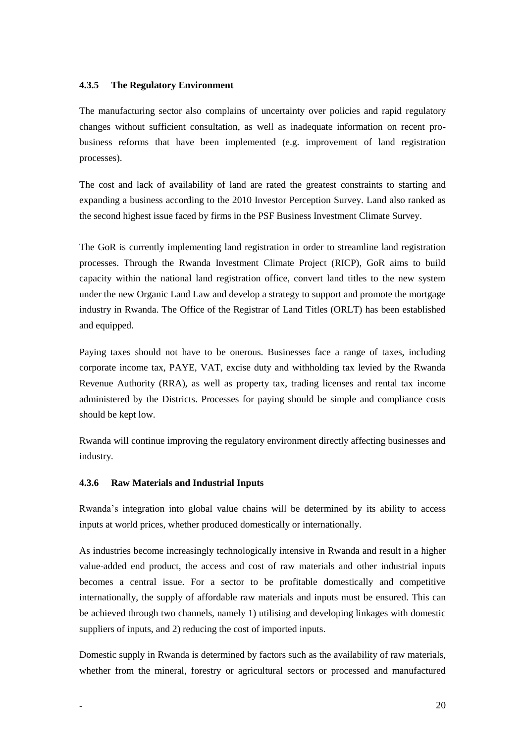### <span id="page-19-0"></span>**4.3.5 The Regulatory Environment**

The manufacturing sector also complains of uncertainty over policies and rapid regulatory changes without sufficient consultation, as well as inadequate information on recent probusiness reforms that have been implemented (e.g. improvement of land registration processes).

The cost and lack of availability of land are rated the greatest constraints to starting and expanding a business according to the 2010 Investor Perception Survey. Land also ranked as the second highest issue faced by firms in the PSF Business Investment Climate Survey.

The GoR is currently implementing land registration in order to streamline land registration processes. Through the Rwanda Investment Climate Project (RICP), GoR aims to build capacity within the national land registration office, convert land titles to the new system under the new Organic Land Law and develop a strategy to support and promote the mortgage industry in Rwanda. The Office of the Registrar of Land Titles (ORLT) has been established and equipped.

Paying taxes should not have to be onerous. Businesses face a range of taxes, including corporate income tax, PAYE, VAT, excise duty and withholding tax levied by the Rwanda Revenue Authority (RRA), as well as property tax, trading licenses and rental tax income administered by the Districts. Processes for paying should be simple and compliance costs should be kept low.

Rwanda will continue improving the regulatory environment directly affecting businesses and industry*.*

#### <span id="page-19-1"></span>**4.3.6 Raw Materials and Industrial Inputs**

Rwanda's integration into global value chains will be determined by its ability to access inputs at world prices, whether produced domestically or internationally.

As industries become increasingly technologically intensive in Rwanda and result in a higher value-added end product, the access and cost of raw materials and other industrial inputs becomes a central issue. For a sector to be profitable domestically and competitive internationally, the supply of affordable raw materials and inputs must be ensured. This can be achieved through two channels, namely 1) utilising and developing linkages with domestic suppliers of inputs, and 2) reducing the cost of imported inputs.

Domestic supply in Rwanda is determined by factors such as the availability of raw materials, whether from the mineral, forestry or agricultural sectors or processed and manufactured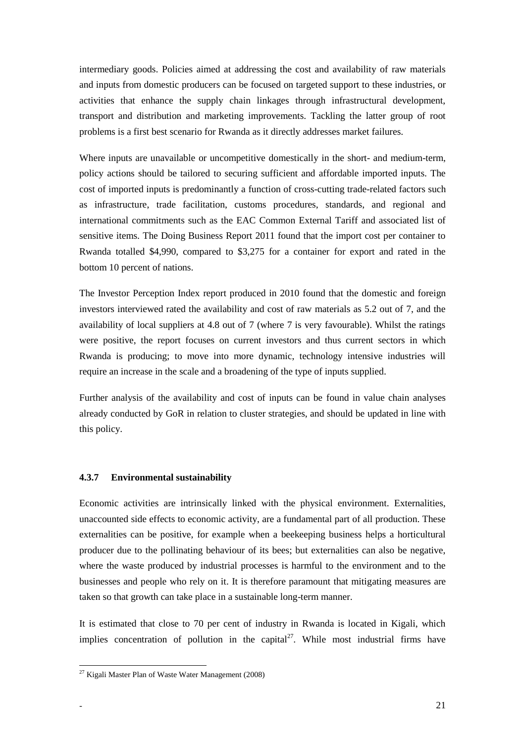intermediary goods. Policies aimed at addressing the cost and availability of raw materials and inputs from domestic producers can be focused on targeted support to these industries, or activities that enhance the supply chain linkages through infrastructural development, transport and distribution and marketing improvements. Tackling the latter group of root problems is a first best scenario for Rwanda as it directly addresses market failures.

Where inputs are unavailable or uncompetitive domestically in the short- and medium-term, policy actions should be tailored to securing sufficient and affordable imported inputs. The cost of imported inputs is predominantly a function of cross-cutting trade-related factors such as infrastructure, trade facilitation, customs procedures, standards, and regional and international commitments such as the EAC Common External Tariff and associated list of sensitive items. The Doing Business Report 2011 found that the import cost per container to Rwanda totalled \$4,990, compared to \$3,275 for a container for export and rated in the bottom 10 percent of nations.

The Investor Perception Index report produced in 2010 found that the domestic and foreign investors interviewed rated the availability and cost of raw materials as 5.2 out of 7, and the availability of local suppliers at 4.8 out of 7 (where 7 is very favourable). Whilst the ratings were positive, the report focuses on current investors and thus current sectors in which Rwanda is producing; to move into more dynamic, technology intensive industries will require an increase in the scale and a broadening of the type of inputs supplied.

Further analysis of the availability and cost of inputs can be found in value chain analyses already conducted by GoR in relation to cluster strategies, and should be updated in line with this policy.

#### <span id="page-20-0"></span>**4.3.7 Environmental sustainability**

Economic activities are intrinsically linked with the physical environment. Externalities, unaccounted side effects to economic activity, are a fundamental part of all production. These externalities can be positive, for example when a beekeeping business helps a horticultural producer due to the pollinating behaviour of its bees; but externalities can also be negative, where the waste produced by industrial processes is harmful to the environment and to the businesses and people who rely on it. It is therefore paramount that mitigating measures are taken so that growth can take place in a sustainable long-term manner.

It is estimated that close to 70 per cent of industry in Rwanda is located in Kigali, which implies concentration of pollution in the capital<sup>27</sup>. While most industrial firms have

<sup>&</sup>lt;sup>27</sup> Kigali Master Plan of Waste Water Management (2008)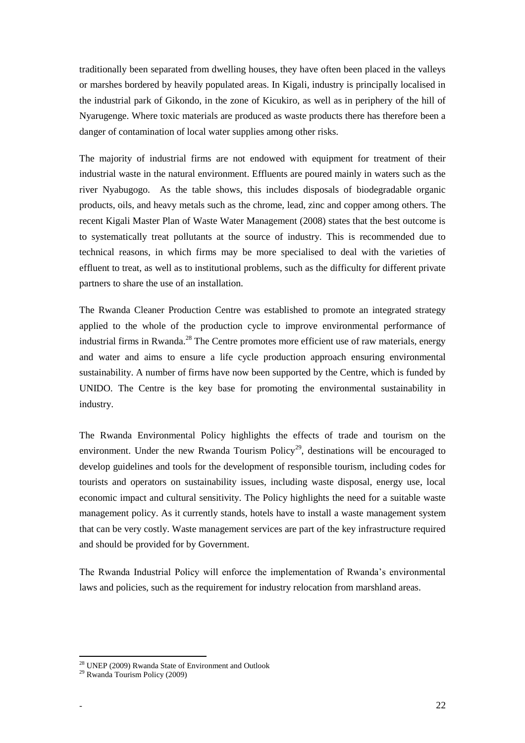traditionally been separated from dwelling houses, they have often been placed in the valleys or marshes bordered by heavily populated areas. In Kigali, industry is principally localised in the industrial park of Gikondo, in the zone of Kicukiro, as well as in periphery of the hill of Nyarugenge. Where toxic materials are produced as waste products there has therefore been a danger of contamination of local water supplies among other risks.

The majority of industrial firms are not endowed with equipment for treatment of their industrial waste in the natural environment. Effluents are poured mainly in waters such as the river Nyabugogo. As the table shows, this includes disposals of biodegradable organic products, oils, and heavy metals such as the chrome, lead, zinc and copper among others. The recent Kigali Master Plan of Waste Water Management (2008) states that the best outcome is to systematically treat pollutants at the source of industry. This is recommended due to technical reasons, in which firms may be more specialised to deal with the varieties of effluent to treat, as well as to institutional problems, such as the difficulty for different private partners to share the use of an installation.

The Rwanda Cleaner Production Centre was established to promote an integrated strategy applied to the whole of the production cycle to improve environmental performance of industrial firms in Rwanda.<sup>28</sup> The Centre promotes more efficient use of raw materials, energy and water and aims to ensure a life cycle production approach ensuring environmental sustainability. A number of firms have now been supported by the Centre, which is funded by UNIDO. The Centre is the key base for promoting the environmental sustainability in industry.

The Rwanda Environmental Policy highlights the effects of trade and tourism on the environment. Under the new Rwanda Tourism Policy<sup>29</sup>, destinations will be encouraged to develop guidelines and tools for the development of responsible tourism, including codes for tourists and operators on sustainability issues, including waste disposal, energy use, local economic impact and cultural sensitivity. The Policy highlights the need for a suitable waste management policy. As it currently stands, hotels have to install a waste management system that can be very costly. Waste management services are part of the key infrastructure required and should be provided for by Government.

The Rwanda Industrial Policy will enforce the implementation of Rwanda's environmental laws and policies, such as the requirement for industry relocation from marshland areas.

<sup>&</sup>lt;sup>28</sup> UNEP (2009) Rwanda State of Environment and Outlook

<sup>29</sup> Rwanda Tourism Policy (2009)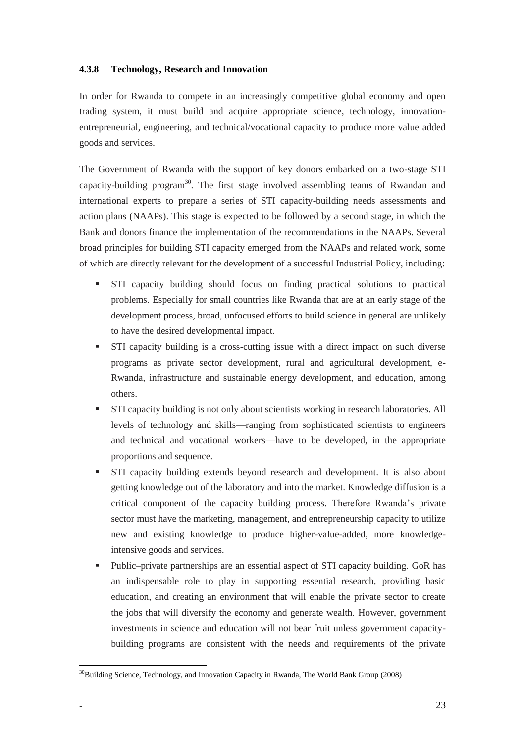### <span id="page-22-0"></span>**4.3.8 Technology, Research and Innovation**

In order for Rwanda to compete in an increasingly competitive global economy and open trading system, it must build and acquire appropriate science, technology, innovationentrepreneurial, engineering, and technical/vocational capacity to produce more value added goods and services.

The Government of Rwanda with the support of key donors embarked on a two-stage STI capacity-building program $30$ . The first stage involved assembling teams of Rwandan and international experts to prepare a series of STI capacity-building needs assessments and action plans (NAAPs). This stage is expected to be followed by a second stage, in which the Bank and donors finance the implementation of the recommendations in the NAAPs. Several broad principles for building STI capacity emerged from the NAAPs and related work, some of which are directly relevant for the development of a successful Industrial Policy, including:

- STI capacity building should focus on finding practical solutions to practical problems. Especially for small countries like Rwanda that are at an early stage of the development process, broad, unfocused efforts to build science in general are unlikely to have the desired developmental impact.
- STI capacity building is a cross-cutting issue with a direct impact on such diverse programs as private sector development, rural and agricultural development, e-Rwanda, infrastructure and sustainable energy development, and education, among others.
- STI capacity building is not only about scientists working in research laboratories. All levels of technology and skills—ranging from sophisticated scientists to engineers and technical and vocational workers—have to be developed, in the appropriate proportions and sequence.
- STI capacity building extends beyond research and development. It is also about getting knowledge out of the laboratory and into the market. Knowledge diffusion is a critical component of the capacity building process. Therefore Rwanda's private sector must have the marketing, management, and entrepreneurship capacity to utilize new and existing knowledge to produce higher-value-added, more knowledgeintensive goods and services.
- Public–private partnerships are an essential aspect of STI capacity building. GoR has an indispensable role to play in supporting essential research, providing basic education, and creating an environment that will enable the private sector to create the jobs that will diversify the economy and generate wealth. However, government investments in science and education will not bear fruit unless government capacitybuilding programs are consistent with the needs and requirements of the private

<sup>&</sup>lt;sup>30</sup>Building Science, Technology, and Innovation Capacity in Rwanda, The World Bank Group (2008)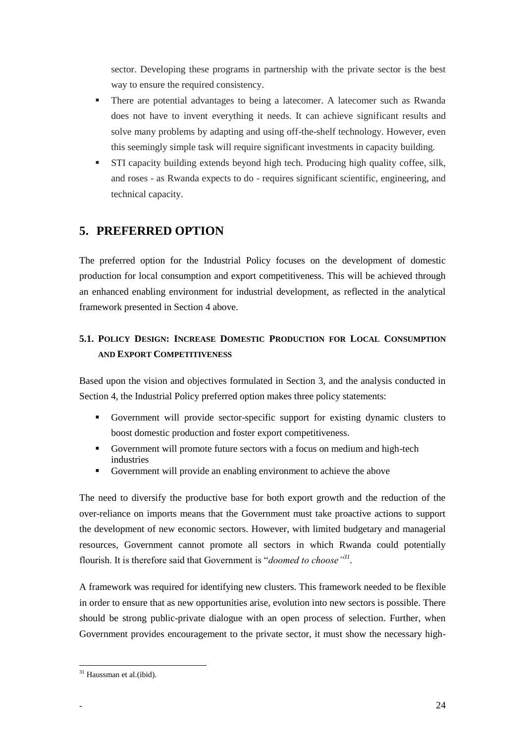sector. Developing these programs in partnership with the private sector is the best way to ensure the required consistency.

- There are potential advantages to being a latecomer. A latecomer such as Rwanda does not have to invent everything it needs. It can achieve significant results and solve many problems by adapting and using off-the-shelf technology. However, even this seemingly simple task will require significant investments in capacity building.
- STI capacity building extends beyond high tech. Producing high quality coffee, silk, and roses - as Rwanda expects to do - requires significant scientific, engineering, and technical capacity.

### <span id="page-23-0"></span>**5. PREFERRED OPTION**

The preferred option for the Industrial Policy focuses on the development of domestic production for local consumption and export competitiveness. This will be achieved through an enhanced enabling environment for industrial development, as reflected in the analytical framework presented in Section 4 above.

### **5.1. POLICY DESIGN: INCREASE DOMESTIC PRODUCTION FOR LOCAL CONSUMPTION AND EXPORT COMPETITIVENESS**

Based upon the vision and objectives formulated in Section 3, and the analysis conducted in Section 4, the Industrial Policy preferred option makes three policy statements:

- Government will provide sector-specific support for existing dynamic clusters to boost domestic production and foster export competitiveness.
- Government will promote future sectors with a focus on medium and high-tech industries
- Government will provide an enabling environment to achieve the above

The need to diversify the productive base for both export growth and the reduction of the over-reliance on imports means that the Government must take proactive actions to support the development of new economic sectors. However, with limited budgetary and managerial resources, Government cannot promote all sectors in which Rwanda could potentially flourish. It is therefore said that Government is "doomed to choose"<sup>31</sup>.

A framework was required for identifying new clusters. This framework needed to be flexible in order to ensure that as new opportunities arise, evolution into new sectors is possible. There should be strong public-private dialogue with an open process of selection. Further, when Government provides encouragement to the private sector, it must show the necessary high-

 $\overline{a}$ <sup>31</sup> Haussman et al.(ibid).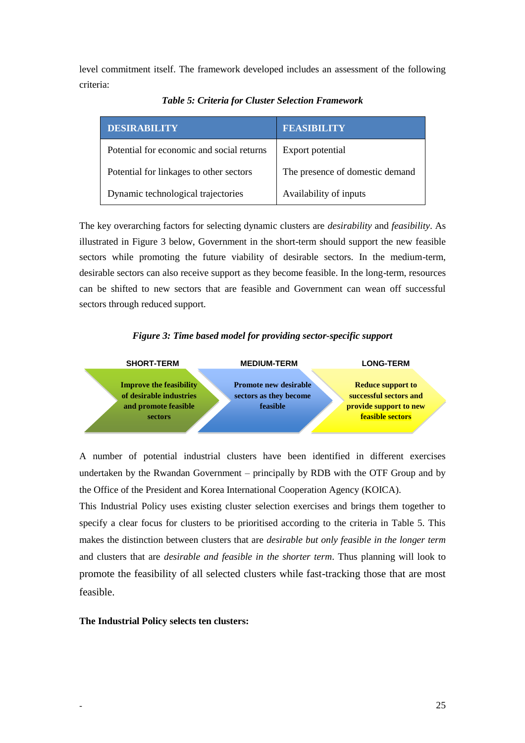<span id="page-24-1"></span>level commitment itself. The framework developed includes an assessment of the following criteria:

| <b>DESIRABILITY</b>                       | <b>FEASIBILITY</b>              |
|-------------------------------------------|---------------------------------|
| Potential for economic and social returns | Export potential                |
| Potential for linkages to other sectors   | The presence of domestic demand |
| Dynamic technological trajectories        | Availability of inputs          |

*Table 5: Criteria for Cluster Selection Framework*

The key overarching factors for selecting dynamic clusters are *desirability* and *feasibility*. As illustrated in [Figure 3](#page-24-0) below, Government in the short-term should support the new feasible sectors while promoting the future viability of desirable sectors. In the medium-term, desirable sectors can also receive support as they become feasible. In the long-term, resources can be shifted to new sectors that are feasible and Government can wean off successful sectors through reduced support.

### *Figure 3: Time based model for providing sector-specific support*

<span id="page-24-0"></span>

A number of potential industrial clusters have been identified in different exercises undertaken by the Rwandan Government – principally by RDB with the OTF Group and by the Office of the President and Korea International Cooperation Agency (KOICA).

This Industrial Policy uses existing cluster selection exercises and brings them together to specify a clear focus for clusters to be prioritised according to the criteria in Table 5. This makes the distinction between clusters that are *desirable but only feasible in the longer term* and clusters that are *desirable and feasible in the shorter term*. Thus planning will look to promote the feasibility of all selected clusters while fast-tracking those that are most feasible.

#### **The Industrial Policy selects ten clusters:**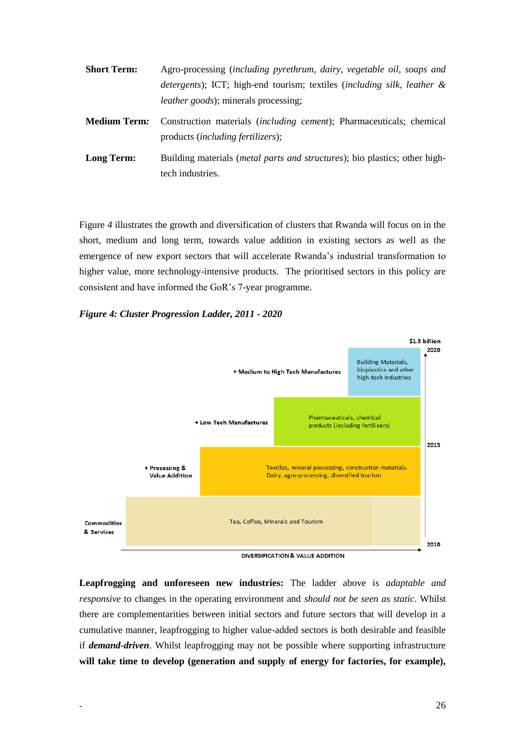| <b>Short Term:</b>  | Agro-processing (including pyrethrum, dairy, vegetable oil, soaps and                                             |
|---------------------|-------------------------------------------------------------------------------------------------------------------|
|                     | detergents); ICT; high-end tourism; textiles (including silk, leather &                                           |
|                     | <i>leather goods</i> ); minerals processing;                                                                      |
| <b>Medium Term:</b> | Construction materials <i>(including cement)</i> ; Pharmaceuticals; chemical<br>products (including fertilizers); |
| Long Term:          | Building materials ( <i>metal parts and structures</i> ); bio plastics; other high-                               |
|                     | tech industries.                                                                                                  |

[Figure](#page-25-1) *4* illustrates the growth and diversification of clusters that Rwanda will focus on in the short, medium and long term, towards value addition in existing sectors as well as the emergence of new export sectors that will accelerate Rwanda's industrial transformation to higher value, more technology-intensive products. The prioritised sectors in this policy are consistent and have informed the GoR's 7-year programme.

#### <span id="page-25-1"></span><span id="page-25-0"></span>*Figure 4: Cluster Progression Ladder, 2011 - 2020*



**Leapfrogging and unforeseen new industries:** The ladder above is *adaptable and responsive* to changes in the operating environment and *should not be seen as static*. Whilst there are complementarities between initial sectors and future sectors that will develop in a cumulative manner, leapfrogging to higher value-added sectors is both desirable and feasible if *demand-driven*. Whilst leapfrogging may not be possible where supporting infrastructure **will take time to develop (generation and supply of energy for factories, for example),**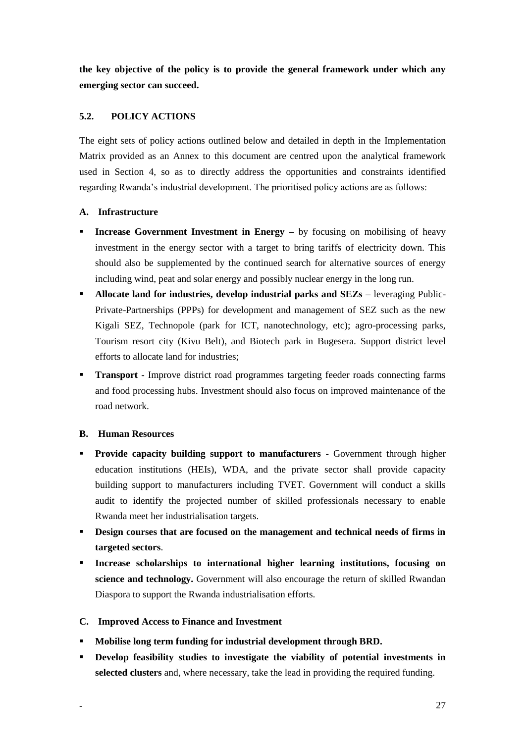**the key objective of the policy is to provide the general framework under which any emerging sector can succeed.**

### **5.2. POLICY ACTIONS**

The eight sets of policy actions outlined below and detailed in depth in the Implementation Matrix provided as an Annex to this document are centred upon the analytical framework used in Section 4, so as to directly address the opportunities and constraints identified regarding Rwanda's industrial development. The prioritised policy actions are as follows:

### **A. Infrastructure**

- **Increase Government Investment in Energy –** by focusing on mobilising of heavy investment in the energy sector with a target to bring tariffs of electricity down. This should also be supplemented by the continued search for alternative sources of energy including wind, peat and solar energy and possibly nuclear energy in the long run.
- **Allocate land for industries, develop industrial parks and SEZs –** leveraging Public-Private-Partnerships (PPPs) for development and management of SEZ such as the new Kigali SEZ, Technopole (park for ICT, nanotechnology, etc); agro-processing parks, Tourism resort city (Kivu Belt), and Biotech park in Bugesera. Support district level efforts to allocate land for industries;
- **Transport -** Improve district road programmes targeting feeder roads connecting farms and food processing hubs. Investment should also focus on improved maintenance of the road network.

### **B. Human Resources**

- **Provide capacity building support to manufacturers** Government through higher education institutions (HEIs), WDA, and the private sector shall provide capacity building support to manufacturers including TVET. Government will conduct a skills audit to identify the projected number of skilled professionals necessary to enable Rwanda meet her industrialisation targets.
- **Pesign courses that are focused on the management and technical needs of firms in targeted sectors**.
- **Increase scholarships to international higher learning institutions, focusing on science and technology.** Government will also encourage the return of skilled Rwandan Diaspora to support the Rwanda industrialisation efforts.

#### **C. Improved Access to Finance and Investment**

- **Mobilise long term funding for industrial development through BRD.**
- **-** Develop feasibility studies to investigate the viability of potential investments in **selected clusters** and, where necessary, take the lead in providing the required funding.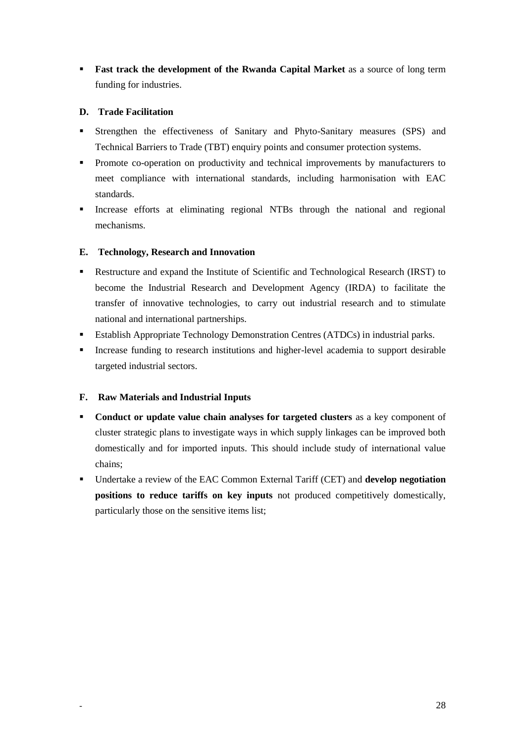**Fast track the development of the Rwanda Capital Market** as a source of long term funding for industries.

### **D. Trade Facilitation**

- Strengthen the effectiveness of Sanitary and Phyto-Sanitary measures (SPS) and Technical Barriers to Trade (TBT) enquiry points and consumer protection systems.
- **Promote co-operation on productivity and technical improvements by manufacturers to** meet compliance with international standards, including harmonisation with EAC standards.
- Increase efforts at eliminating regional NTBs through the national and regional mechanisms.

### **E. Technology, Research and Innovation**

- Restructure and expand the Institute of Scientific and Technological Research (IRST) to become the Industrial Research and Development Agency (IRDA) to facilitate the transfer of innovative technologies, to carry out industrial research and to stimulate national and international partnerships.
- Establish Appropriate Technology Demonstration Centres (ATDCs) in industrial parks.
- Increase funding to research institutions and higher-level academia to support desirable targeted industrial sectors.

### **F. Raw Materials and Industrial Inputs**

- **Conduct or update value chain analyses for targeted clusters** as a key component of cluster strategic plans to investigate ways in which supply linkages can be improved both domestically and for imported inputs. This should include study of international value chains;
- Undertake a review of the EAC Common External Tariff (CET) and **develop negotiation positions to reduce tariffs on key inputs** not produced competitively domestically, particularly those on the sensitive items list;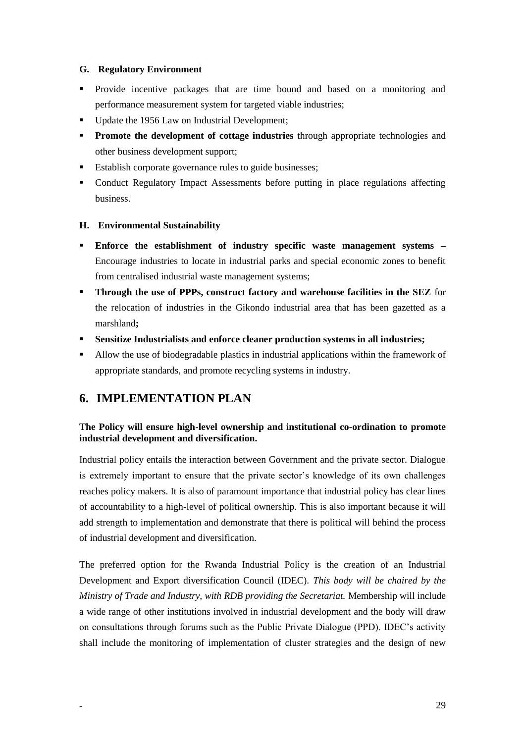### **G. Regulatory Environment**

- Provide incentive packages that are time bound and based on a monitoring and performance measurement system for targeted viable industries;
- Update the 1956 Law on Industrial Development;
- **Promote the development of cottage industries** through appropriate technologies and other business development support;
- **Establish corporate governance rules to guide businesses;**
- Conduct Regulatory Impact Assessments before putting in place regulations affecting business.

### **H. Environmental Sustainability**

- **Enforce the establishment of industry specific waste management systems –** Encourage industries to locate in industrial parks and special economic zones to benefit from centralised industrial waste management systems;
- **Through the use of PPPs, construct factory and warehouse facilities in the SEZ** for the relocation of industries in the Gikondo industrial area that has been gazetted as a marshland**;**
- **Sensitize Industrialists and enforce cleaner production systems in all industries;**
- Allow the use of biodegradable plastics in industrial applications within the framework of appropriate standards, and promote recycling systems in industry.

### <span id="page-28-0"></span>**6. IMPLEMENTATION PLAN**

### **The Policy will ensure high-level ownership and institutional co-ordination to promote industrial development and diversification.**

Industrial policy entails the interaction between Government and the private sector. Dialogue is extremely important to ensure that the private sector's knowledge of its own challenges reaches policy makers. It is also of paramount importance that industrial policy has clear lines of accountability to a high-level of political ownership. This is also important because it will add strength to implementation and demonstrate that there is political will behind the process of industrial development and diversification.

The preferred option for the Rwanda Industrial Policy is the creation of an Industrial Development and Export diversification Council (IDEC). *This body will be chaired by the Ministry of Trade and Industry, with RDB providing the Secretariat.* Membership will include a wide range of other institutions involved in industrial development and the body will draw on consultations through forums such as the Public Private Dialogue (PPD). IDEC's activity shall include the monitoring of implementation of cluster strategies and the design of new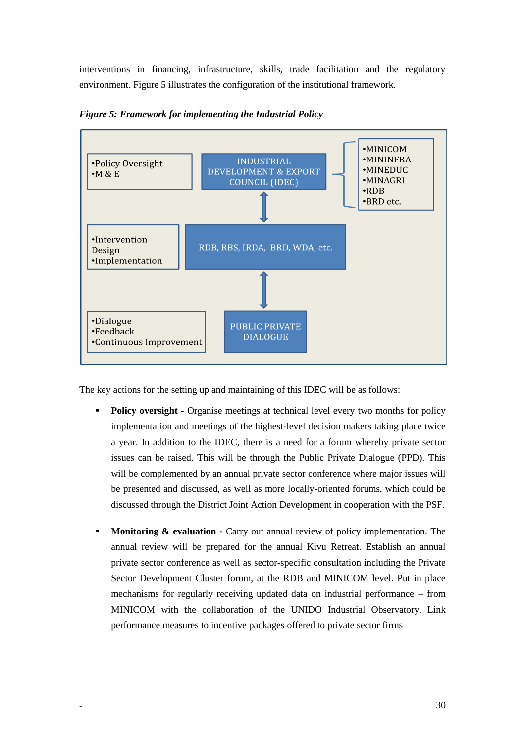interventions in financing, infrastructure, skills, trade facilitation and the regulatory environment. [Figure 5](#page-29-0) illustrates the configuration of the institutional framework.



<span id="page-29-0"></span>*Figure 5: Framework for implementing the Industrial Policy*

The key actions for the setting up and maintaining of this IDEC will be as follows:

- **Policy oversight -** Organise meetings at technical level every two months for policy implementation and meetings of the highest-level decision makers taking place twice a year. In addition to the IDEC, there is a need for a forum whereby private sector issues can be raised. This will be through the Public Private Dialogue (PPD). This will be complemented by an annual private sector conference where major issues will be presented and discussed, as well as more locally-oriented forums, which could be discussed through the District Joint Action Development in cooperation with the PSF.
- **Monitoring & evaluation -** Carry out annual review of policy implementation. The annual review will be prepared for the annual Kivu Retreat. Establish an annual private sector conference as well as sector-specific consultation including the Private Sector Development Cluster forum, at the RDB and MINICOM level. Put in place mechanisms for regularly receiving updated data on industrial performance – from MINICOM with the collaboration of the UNIDO Industrial Observatory. Link performance measures to incentive packages offered to private sector firms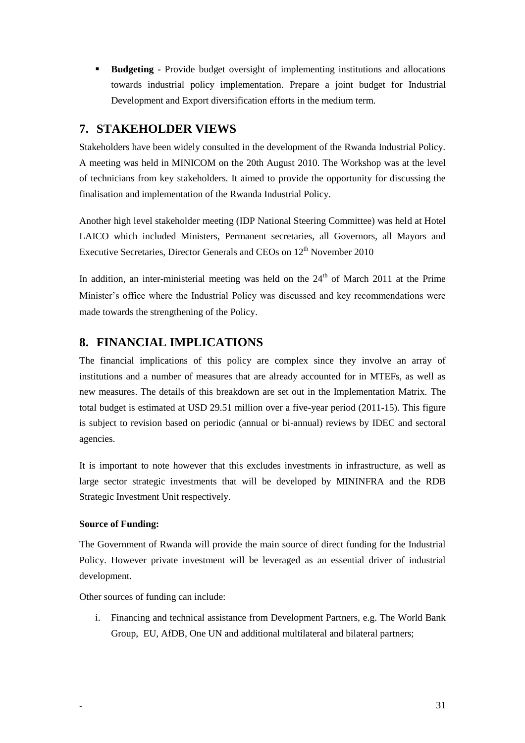**Budgeting -** Provide budget oversight of implementing institutions and allocations towards industrial policy implementation. Prepare a joint budget for Industrial Development and Export diversification efforts in the medium term.

### <span id="page-30-0"></span>**7. STAKEHOLDER VIEWS**

Stakeholders have been widely consulted in the development of the Rwanda Industrial Policy. A meeting was held in MINICOM on the 20th August 2010. The Workshop was at the level of technicians from key stakeholders. It aimed to provide the opportunity for discussing the finalisation and implementation of the Rwanda Industrial Policy.

Another high level stakeholder meeting (IDP National Steering Committee) was held at Hotel LAICO which included Ministers, Permanent secretaries, all Governors, all Mayors and Executive Secretaries, Director Generals and CEOs on 12<sup>th</sup> November 2010

In addition, an inter-ministerial meeting was held on the  $24<sup>th</sup>$  of March 2011 at the Prime Minister's office where the Industrial Policy was discussed and key recommendations were made towards the strengthening of the Policy.

### <span id="page-30-1"></span>**8. FINANCIAL IMPLICATIONS**

The financial implications of this policy are complex since they involve an array of institutions and a number of measures that are already accounted for in MTEFs, as well as new measures. The details of this breakdown are set out in the Implementation Matrix. The total budget is estimated at USD 29.51 million over a five-year period (2011-15). This figure is subject to revision based on periodic (annual or bi-annual) reviews by IDEC and sectoral agencies.

It is important to note however that this excludes investments in infrastructure, as well as large sector strategic investments that will be developed by MININFRA and the RDB Strategic Investment Unit respectively.

### **Source of Funding:**

The Government of Rwanda will provide the main source of direct funding for the Industrial Policy. However private investment will be leveraged as an essential driver of industrial development.

Other sources of funding can include:

i. Financing and technical assistance from Development Partners, e.g. The World Bank Group, EU, AfDB, One UN and additional multilateral and bilateral partners;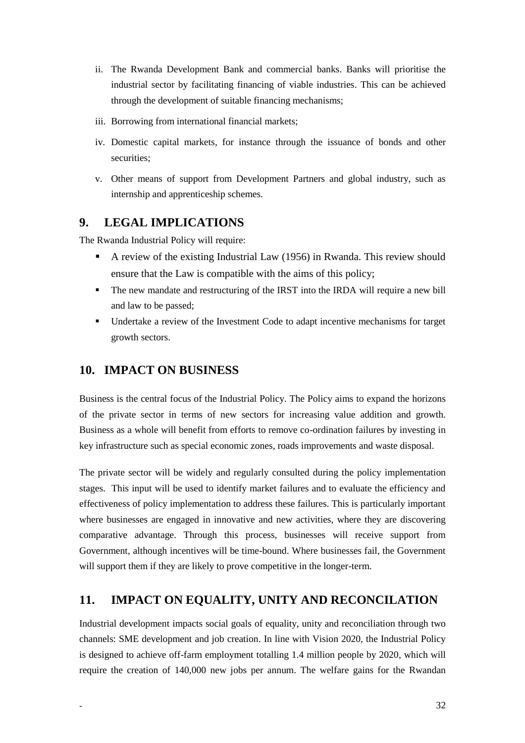- ii. The Rwanda Development Bank and commercial banks. Banks will prioritise the industrial sector by facilitating financing of viable industries. This can be achieved through the development of suitable financing mechanisms;
- iii. Borrowing from international financial markets;
- iv. Domestic capital markets, for instance through the issuance of bonds and other securities;
- v. Other means of support from Development Partners and global industry, such as internship and apprenticeship schemes.

### <span id="page-31-0"></span>**9. LEGAL IMPLICATIONS**

The Rwanda Industrial Policy will require:

- A review of the existing Industrial Law (1956) in Rwanda. This review should ensure that the Law is compatible with the aims of this policy;
- The new mandate and restructuring of the IRST into the IRDA will require a new bill and law to be passed;
- Undertake a review of the Investment Code to adapt incentive mechanisms for target growth sectors.

### <span id="page-31-1"></span>**10. IMPACT ON BUSINESS**

Business is the central focus of the Industrial Policy. The Policy aims to expand the horizons of the private sector in terms of new sectors for increasing value addition and growth. Business as a whole will benefit from efforts to remove co-ordination failures by investing in key infrastructure such as special economic zones, roads improvements and waste disposal.

The private sector will be widely and regularly consulted during the policy implementation stages. This input will be used to identify market failures and to evaluate the efficiency and effectiveness of policy implementation to address these failures. This is particularly important where businesses are engaged in innovative and new activities, where they are discovering comparative advantage. Through this process, businesses will receive support from Government, although incentives will be time-bound. Where businesses fail, the Government will support them if they are likely to prove competitive in the longer-term.

### <span id="page-31-2"></span>**11. IMPACT ON EQUALITY, UNITY AND RECONCILATION**

Industrial development impacts social goals of equality, unity and reconciliation through two channels: SME development and job creation. In line with Vision 2020, the Industrial Policy is designed to achieve off-farm employment totalling 1.4 million people by 2020, which will require the creation of 140,000 new jobs per annum. The welfare gains for the Rwandan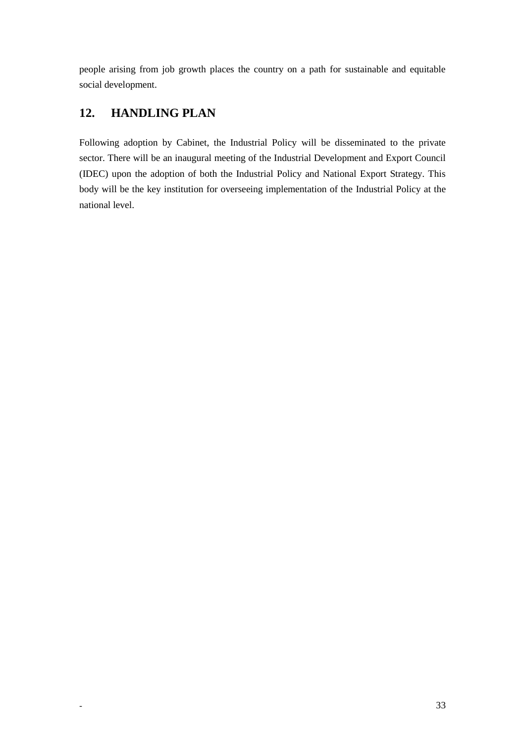people arising from job growth places the country on a path for sustainable and equitable social development.

## <span id="page-32-0"></span>**12. HANDLING PLAN**

Following adoption by Cabinet, the Industrial Policy will be disseminated to the private sector. There will be an inaugural meeting of the Industrial Development and Export Council (IDEC) upon the adoption of both the Industrial Policy and National Export Strategy. This body will be the key institution for overseeing implementation of the Industrial Policy at the national level.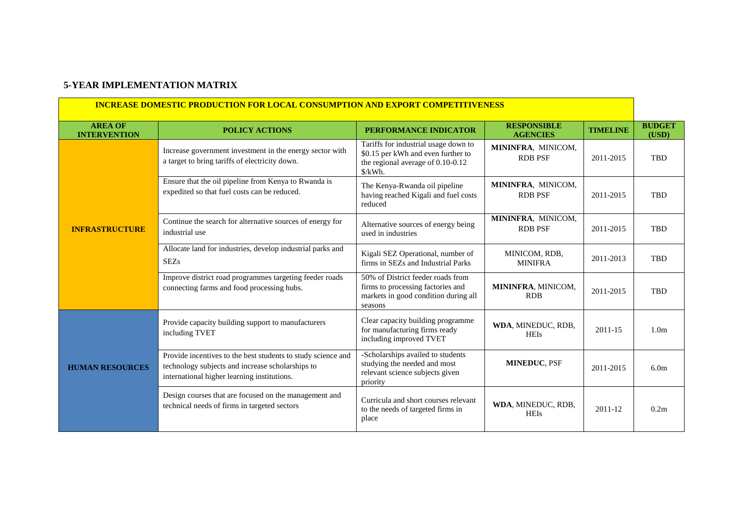### **5-YEAR IMPLEMENTATION MATRIX**

 $\mathbf{r}$ 

<span id="page-33-0"></span>

| <u>INCREASE DOMESTIC PRODUCTION FOR LOCAL CONSUMPTION AND EXPORT COMPETITIVENESS</u> |                                                                                                                                                                 |                                                                                                                                  |                                       |                 |                        |
|--------------------------------------------------------------------------------------|-----------------------------------------------------------------------------------------------------------------------------------------------------------------|----------------------------------------------------------------------------------------------------------------------------------|---------------------------------------|-----------------|------------------------|
| <b>AREA OF</b><br><b>INTERVENTION</b>                                                | <b>POLICY ACTIONS</b>                                                                                                                                           | PERFORMANCE INDICATOR                                                                                                            | <b>RESPONSIBLE</b><br><b>AGENCIES</b> | <b>TIMELINE</b> | <b>BUDGET</b><br>(USD) |
|                                                                                      | Increase government investment in the energy sector with<br>a target to bring tariffs of electricity down.                                                      | Tariffs for industrial usage down to<br>\$0.15 per kWh and even further to<br>the regional average of $0.10$ - $0.12$<br>\$/kWh. | MININFRA, MINICOM,<br><b>RDB PSF</b>  | 2011-2015       | <b>TBD</b>             |
|                                                                                      | Ensure that the oil pipeline from Kenya to Rwanda is<br>expedited so that fuel costs can be reduced.                                                            | The Kenya-Rwanda oil pipeline<br>having reached Kigali and fuel costs<br>reduced                                                 | MININFRA, MINICOM,<br><b>RDB PSF</b>  | 2011-2015       | <b>TBD</b>             |
| <b>INFRASTRUCTURE</b>                                                                | Continue the search for alternative sources of energy for<br>industrial use                                                                                     | Alternative sources of energy being<br>used in industries                                                                        | MININFRA, MINICOM,<br><b>RDB PSF</b>  | 2011-2015       | <b>TBD</b>             |
|                                                                                      | Allocate land for industries, develop industrial parks and<br><b>SEZs</b>                                                                                       | Kigali SEZ Operational, number of<br>firms in SEZs and Industrial Parks                                                          | MINICOM, RDB,<br><b>MINIFRA</b>       | 2011-2013       | <b>TBD</b>             |
|                                                                                      | Improve district road programmes targeting feeder roads<br>connecting farms and food processing hubs.                                                           | 50% of District feeder roads from<br>firms to processing factories and<br>markets in good condition during all<br>seasons        | MININFRA, MINICOM,<br><b>RDB</b>      | 2011-2015       | <b>TBD</b>             |
| <b>HUMAN RESOURCES</b>                                                               | Provide capacity building support to manufacturers<br>including TVET                                                                                            | Clear capacity building programme<br>for manufacturing firms ready<br>including improved TVET                                    | WDA, MINEDUC, RDB,<br><b>HEIs</b>     | 2011-15         | 1.0 <sub>m</sub>       |
|                                                                                      | Provide incentives to the best students to study science and<br>technology subjects and increase scholarships to<br>international higher learning institutions. | -Scholarships availed to students<br>studying the needed and most<br>relevant science subjects given<br>priority                 | <b>MINEDUC, PSF</b>                   | 2011-2015       | 6.0 <sub>m</sub>       |
|                                                                                      | Design courses that are focused on the management and<br>technical needs of firms in targeted sectors                                                           | Curricula and short courses relevant<br>to the needs of targeted firms in<br>place                                               | WDA, MINEDUC, RDB,<br><b>HEIs</b>     | 2011-12         | 0.2m                   |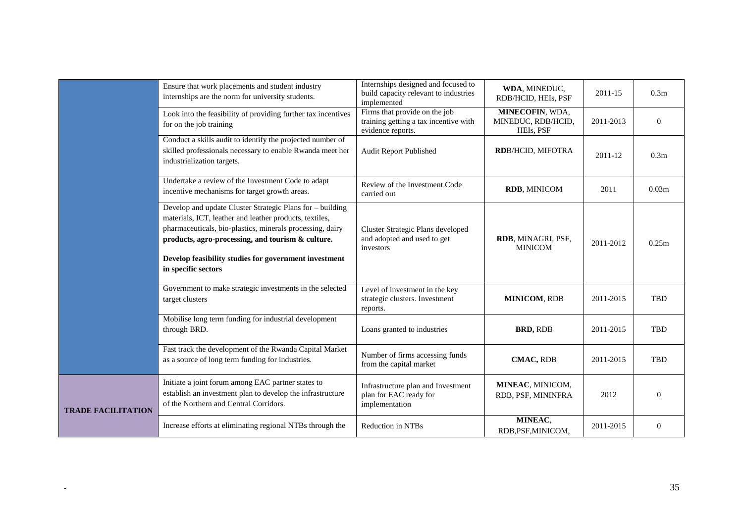|                           | Ensure that work placements and student industry<br>internships are the norm for university students.                                                                                                                                                                                                                  | Internships designed and focused to<br>build capacity relevant to industries<br>implemented | WDA, MINEDUC,<br>RDB/HCID, HEIs, PSF               | 2011-15   | 0.3 <sub>m</sub>  |
|---------------------------|------------------------------------------------------------------------------------------------------------------------------------------------------------------------------------------------------------------------------------------------------------------------------------------------------------------------|---------------------------------------------------------------------------------------------|----------------------------------------------------|-----------|-------------------|
|                           | Look into the feasibility of providing further tax incentives<br>for on the job training                                                                                                                                                                                                                               | Firms that provide on the job<br>training getting a tax incentive with<br>evidence reports. | MINECOFIN, WDA,<br>MINEDUC, RDB/HCID,<br>HEIs, PSF | 2011-2013 | $\theta$          |
|                           | Conduct a skills audit to identify the projected number of<br>skilled professionals necessary to enable Rwanda meet her<br>industrialization targets.                                                                                                                                                                  | Audit Report Published                                                                      | <b>RDB/HCID, MIFOTRA</b>                           | 2011-12   | 0.3 <sub>m</sub>  |
|                           | Undertake a review of the Investment Code to adapt<br>incentive mechanisms for target growth areas.                                                                                                                                                                                                                    | Review of the Investment Code<br>carried out                                                | <b>RDB, MINICOM</b>                                | 2011      | 0.03 <sub>m</sub> |
|                           | Develop and update Cluster Strategic Plans for - building<br>materials, ICT, leather and leather products, textiles,<br>pharmaceuticals, bio-plastics, minerals processing, dairy<br>products, agro-processing, and tourism & culture.<br>Develop feasibility studies for government investment<br>in specific sectors | Cluster Strategic Plans developed<br>and adopted and used to get<br>investors               | RDB, MINAGRI, PSF,<br><b>MINICOM</b>               | 2011-2012 | 0.25m             |
|                           | Government to make strategic investments in the selected<br>target clusters                                                                                                                                                                                                                                            | Level of investment in the key<br>strategic clusters. Investment<br>reports.                | <b>MINICOM, RDB</b>                                | 2011-2015 | <b>TBD</b>        |
|                           | Mobilise long term funding for industrial development<br>through BRD.                                                                                                                                                                                                                                                  | Loans granted to industries                                                                 | <b>BRD, RDB</b>                                    | 2011-2015 | <b>TBD</b>        |
|                           | Fast track the development of the Rwanda Capital Market<br>as a source of long term funding for industries.                                                                                                                                                                                                            | Number of firms accessing funds<br>from the capital market                                  | <b>CMAC, RDB</b>                                   | 2011-2015 | <b>TBD</b>        |
| <b>TRADE FACILITATION</b> | Initiate a joint forum among EAC partner states to<br>establish an investment plan to develop the infrastructure<br>of the Northern and Central Corridors.                                                                                                                                                             | Infrastructure plan and Investment<br>plan for EAC ready for<br>implementation              | MINEAC, MINICOM,<br>RDB, PSF, MININFRA             | 2012      | $\Omega$          |
|                           | Increase efforts at eliminating regional NTBs through the                                                                                                                                                                                                                                                              | Reduction in NTBs                                                                           | MINEAC,<br>RDB, PSF, MINICOM,                      | 2011-2015 | $\theta$          |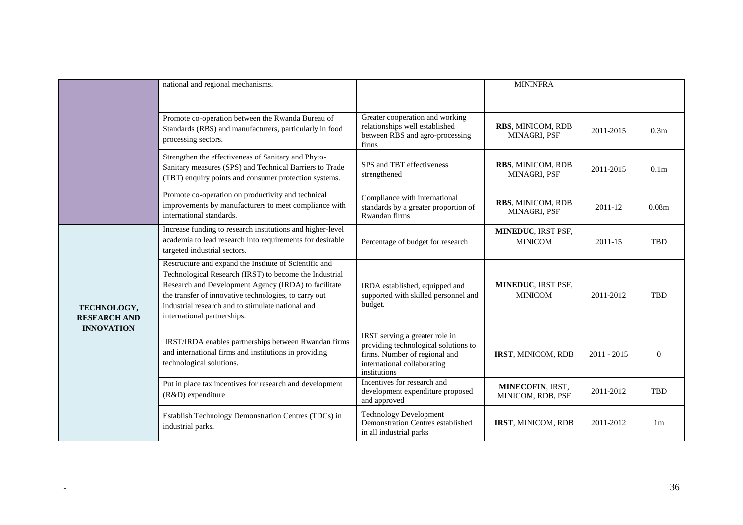|                                                         | national and regional mechanisms.                                                                                                                                                                                                                                                                                     |                                                                                                                                                        | <b>MININFRA</b>                       |               |                   |
|---------------------------------------------------------|-----------------------------------------------------------------------------------------------------------------------------------------------------------------------------------------------------------------------------------------------------------------------------------------------------------------------|--------------------------------------------------------------------------------------------------------------------------------------------------------|---------------------------------------|---------------|-------------------|
|                                                         | Promote co-operation between the Rwanda Bureau of<br>Standards (RBS) and manufacturers, particularly in food<br>processing sectors.                                                                                                                                                                                   | Greater cooperation and working<br>relationships well established<br>between RBS and agro-processing<br>firms                                          | RBS, MINICOM, RDB<br>MINAGRI, PSF     | 2011-2015     | 0.3 <sub>m</sub>  |
|                                                         | Strengthen the effectiveness of Sanitary and Phyto-<br>Sanitary measures (SPS) and Technical Barriers to Trade<br>(TBT) enquiry points and consumer protection systems.                                                                                                                                               | SPS and TBT effectiveness<br>strengthened                                                                                                              | RBS, MINICOM, RDB<br>MINAGRI, PSF     | 2011-2015     | 0.1 <sub>m</sub>  |
|                                                         | Promote co-operation on productivity and technical<br>improvements by manufacturers to meet compliance with<br>international standards.                                                                                                                                                                               | Compliance with international<br>standards by a greater proportion of<br>Rwandan firms                                                                 | RBS, MINICOM, RDB<br>MINAGRI, PSF     | 2011-12       | 0.08 <sub>m</sub> |
| TECHNOLOGY,<br><b>RESEARCH AND</b><br><b>INNOVATION</b> | Increase funding to research institutions and higher-level<br>academia to lead research into requirements for desirable<br>targeted industrial sectors.                                                                                                                                                               | Percentage of budget for research                                                                                                                      | MINEDUC, IRST PSF,<br><b>MINICOM</b>  | 2011-15       | <b>TBD</b>        |
|                                                         | Restructure and expand the Institute of Scientific and<br>Technological Research (IRST) to become the Industrial<br>Research and Development Agency (IRDA) to facilitate<br>the transfer of innovative technologies, to carry out<br>industrial research and to stimulate national and<br>international partnerships. | IRDA established, equipped and<br>supported with skilled personnel and<br>budget.                                                                      | MINEDUC, IRST PSF,<br><b>MINICOM</b>  | 2011-2012     | <b>TBD</b>        |
|                                                         | IRST/IRDA enables partnerships between Rwandan firms<br>and international firms and institutions in providing<br>technological solutions.                                                                                                                                                                             | IRST serving a greater role in<br>providing technological solutions to<br>firms. Number of regional and<br>international collaborating<br>institutions | IRST, MINICOM, RDB                    | $2011 - 2015$ | $\Omega$          |
|                                                         | Put in place tax incentives for research and development<br>(R&D) expenditure                                                                                                                                                                                                                                         | Incentives for research and<br>development expenditure proposed<br>and approved                                                                        | MINECOFIN, IRST,<br>MINICOM, RDB, PSF | 2011-2012     | <b>TBD</b>        |
|                                                         | Establish Technology Demonstration Centres (TDCs) in<br>industrial parks.                                                                                                                                                                                                                                             | <b>Technology Development</b><br>Demonstration Centres established<br>in all industrial parks                                                          | IRST, MINICOM, RDB                    | 2011-2012     | 1 <sub>m</sub>    |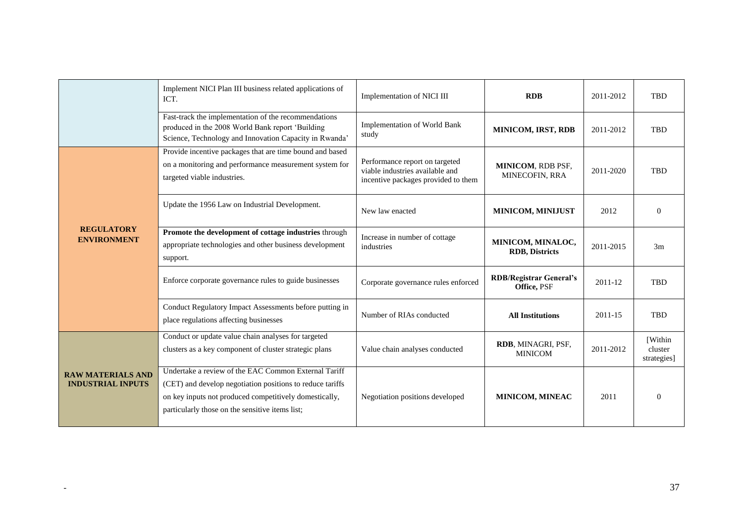|                                                      | Implement NICI Plan III business related applications of<br>ICT.                                                                                                                                                               | Implementation of NICI III                                                                               | <b>RDB</b>                                    | 2011-2012 | <b>TBD</b>                              |
|------------------------------------------------------|--------------------------------------------------------------------------------------------------------------------------------------------------------------------------------------------------------------------------------|----------------------------------------------------------------------------------------------------------|-----------------------------------------------|-----------|-----------------------------------------|
|                                                      | Fast-track the implementation of the recommendations<br>produced in the 2008 World Bank report 'Building<br>Science, Technology and Innovation Capacity in Rwanda'                                                             | Implementation of World Bank<br>study                                                                    | <b>MINICOM, IRST, RDB</b>                     | 2011-2012 | <b>TBD</b>                              |
| <b>REGULATORY</b><br><b>ENVIRONMENT</b>              | Provide incentive packages that are time bound and based<br>on a monitoring and performance measurement system for<br>targeted viable industries.                                                                              | Performance report on targeted<br>viable industries available and<br>incentive packages provided to them | MINICOM, RDB PSF,<br>MINECOFIN, RRA           | 2011-2020 | <b>TBD</b>                              |
|                                                      | Update the 1956 Law on Industrial Development.                                                                                                                                                                                 | New law enacted                                                                                          | MINICOM, MINIJUST                             | 2012      | $\Omega$                                |
|                                                      | Promote the development of cottage industries through<br>appropriate technologies and other business development<br>support.                                                                                                   | Increase in number of cottage<br>industries                                                              | MINICOM, MINALOC,<br><b>RDB</b> , Districts   | 2011-2015 | 3m                                      |
|                                                      | Enforce corporate governance rules to guide businesses                                                                                                                                                                         | Corporate governance rules enforced                                                                      | <b>RDB/Registrar General's</b><br>Office, PSF | 2011-12   | <b>TBD</b>                              |
|                                                      | Conduct Regulatory Impact Assessments before putting in<br>place regulations affecting businesses                                                                                                                              | Number of RIAs conducted                                                                                 | <b>All Institutions</b>                       | 2011-15   | <b>TBD</b>                              |
| <b>RAW MATERIALS AND</b><br><b>INDUSTRIAL INPUTS</b> | Conduct or update value chain analyses for targeted<br>clusters as a key component of cluster strategic plans                                                                                                                  | Value chain analyses conducted                                                                           | RDB, MINAGRI, PSF,<br><b>MINICOM</b>          | 2011-2012 | <b>Within</b><br>cluster<br>strategies] |
|                                                      | Undertake a review of the EAC Common External Tariff<br>(CET) and develop negotiation positions to reduce tariffs<br>on key inputs not produced competitively domestically,<br>particularly those on the sensitive items list; | Negotiation positions developed                                                                          | MINICOM, MINEAC                               | 2011      | $\Omega$                                |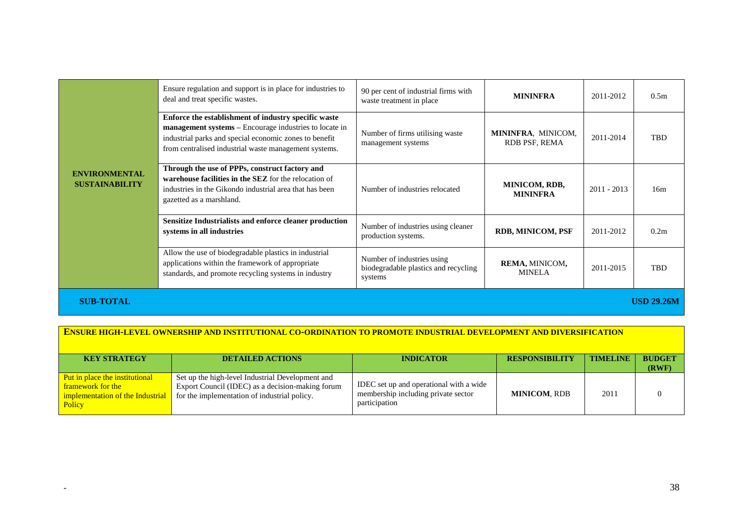| <b>ENVIRONMENTAL</b><br><b>SUSTAINABILITY</b> | Ensure regulation and support is in place for industries to<br>deal and treat specific wastes.                                                                                                                                    | 90 per cent of industrial firms with<br>waste treatment in place              | <b>MININFRA</b>                     | 2011-2012     | 0.5 <sub>m</sub>  |
|-----------------------------------------------|-----------------------------------------------------------------------------------------------------------------------------------------------------------------------------------------------------------------------------------|-------------------------------------------------------------------------------|-------------------------------------|---------------|-------------------|
|                                               | Enforce the establishment of industry specific waste<br>management systems – Encourage industries to locate in<br>industrial parks and special economic zones to benefit<br>from centralised industrial waste management systems. | Number of firms utilising waste<br>management systems                         | MININFRA, MINICOM,<br>RDB PSF, REMA | 2011-2014     | <b>TBD</b>        |
|                                               | Through the use of PPPs, construct factory and<br>warehouse facilities in the SEZ for the relocation of<br>industries in the Gikondo industrial area that has been<br>gazetted as a marshland.                                    | Number of industries relocated                                                | MINICOM, RDB,<br><b>MININFRA</b>    | $2011 - 2013$ | 16m               |
|                                               | <b>Sensitize Industrialists and enforce cleaner production</b><br>systems in all industries                                                                                                                                       | Number of industries using cleaner<br>production systems.                     | RDB, MINICOM, PSF                   | 2011-2012     | 0.2m              |
|                                               | Allow the use of biodegradable plastics in industrial<br>applications within the framework of appropriate<br>standards, and promote recycling systems in industry                                                                 | Number of industries using<br>biodegradable plastics and recycling<br>systems | REMA, MINICOM,<br><b>MINELA</b>     | 2011-2015     | TBD               |
| <b>SUB-TOTAL</b>                              |                                                                                                                                                                                                                                   |                                                                               |                                     |               | <b>USD 29.26M</b> |

### **ENSURE HIGH-LEVEL OWNERSHIP AND INSTITUTIONAL CO-ORDINATION TO PROMOTE INDUSTRIAL DEVELOPMENT AND DIVERSIFICATION**

| <b>KEY STRATEGY</b>                                                                               | <b>DETAILED ACTIONS</b>                                                                                                                              | <b>INDICATOR</b>                                                                                | <b>RESPONSIBILITY</b> | <b>TIMELINE</b> | <b>BUDGET</b><br>(RWF) |
|---------------------------------------------------------------------------------------------------|------------------------------------------------------------------------------------------------------------------------------------------------------|-------------------------------------------------------------------------------------------------|-----------------------|-----------------|------------------------|
| Put in place the institutional<br>framework for the<br>implementation of the Industrial<br>Policy | Set up the high-level Industrial Development and<br>Export Council (IDEC) as a decision-making forum<br>for the implementation of industrial policy. | IDEC set up and operational with a wide<br>membership including private sector<br>participation | <b>MINICOM. RDB</b>   | 2011            |                        |